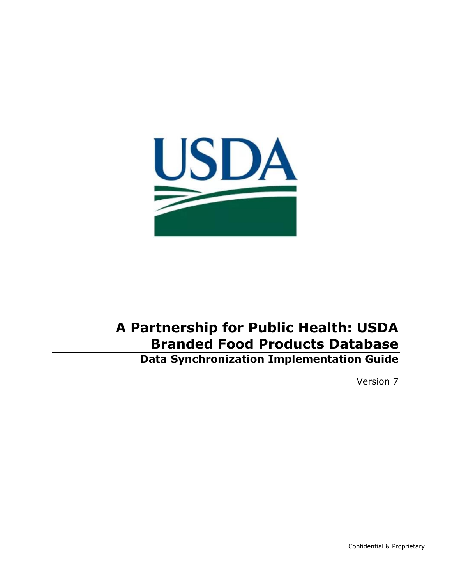

# **A Partnership for Public Health: USDA Branded Food Products Database Data Synchronization Implementation Guide**

Version 7

Confidential & Proprietary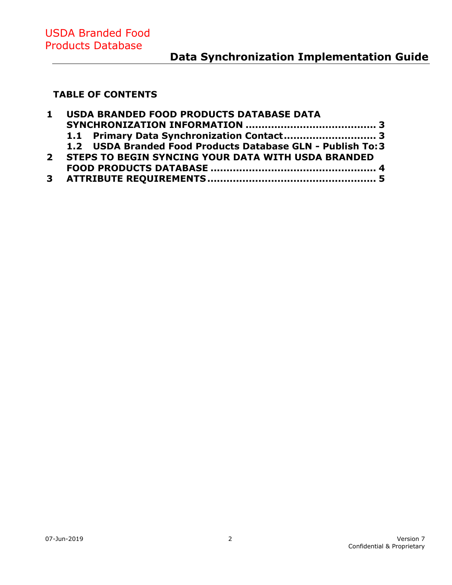# **Data Synchronization Implementation Guide**

#### **TABLE OF CONTENTS**

| 1 USDA BRANDED FOOD PRODUCTS DATABASE DATA                 |
|------------------------------------------------------------|
|                                                            |
|                                                            |
| 1.2 USDA Branded Food Products Database GLN - Publish To:3 |
| 2 STEPS TO BEGIN SYNCING YOUR DATA WITH USDA BRANDED       |
|                                                            |
|                                                            |
|                                                            |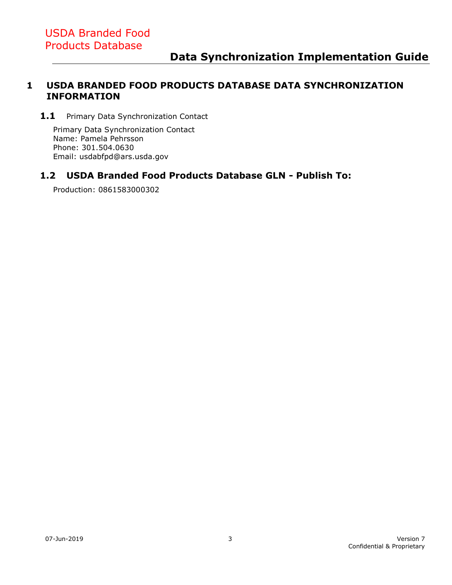#### <span id="page-2-0"></span>**1 USDA BRANDED FOOD PRODUCTS DATABASE DATA SYNCHRONIZATION INFORMATION**

<span id="page-2-1"></span>1.1 Primary Data Synchronization Contact

Primary Data Synchronization Contact Name: Pamela Pehrsson Phone: [301.504.0630](tel:301.504.0630) Email: [usdabfpd@ars.usda.gov](mailto:usdabfpd@ars.usda.gov)

#### <span id="page-2-2"></span>**1.2 USDA Branded Food Products Database GLN - Publish To:**

Production: 0861583000302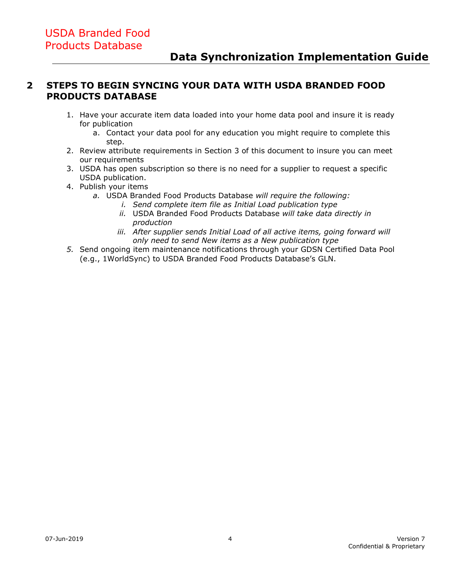#### <span id="page-3-0"></span>**2 STEPS TO BEGIN SYNCING YOUR DATA WITH USDA BRANDED FOOD PRODUCTS DATABASE**

- 1. Have your accurate item data loaded into your home data pool and insure it is ready for publication
	- a. Contact your data pool for any education you might require to complete this step.
- 2. Review attribute requirements in Section 3 of this document to insure you can meet our requirements
- 3. USDA has open subscription so there is no need for a supplier to request a specific USDA publication.
- 4. Publish your items
	- *a.* USDA Branded Food Products Database *will require the following:*
		- *i. Send complete item file as Initial Load publication type*
		- *ii.* USDA Branded Food Products Database *will take data directly in production*
		- *iii. After supplier sends Initial Load of all active items, going forward will only need to send New items as a New publication type*
- *5.* Send ongoing item maintenance notifications through your GDSN Certified Data Pool (e.g., 1WorldSync) to USDA Branded Food Products Database's GLN.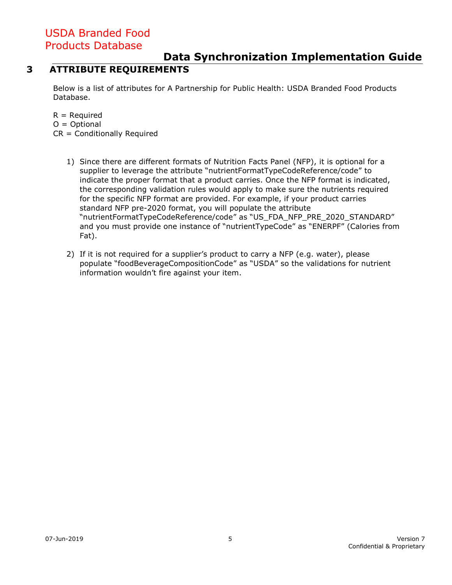#### **Data Synchronization Implementation Guide**

#### **3 ATTRIBUTE REQUIREMENTS**

<span id="page-4-0"></span>Below is a list of attributes for A Partnership for Public Health: USDA Branded Food Products Database.

 $R = Required$  $O =$  Optional CR = Conditionally Required

- 1) Since there are different formats of Nutrition Facts Panel (NFP), it is optional for a supplier to leverage the attribute "nutrientFormatTypeCodeReference/code" to indicate the proper format that a product carries. Once the NFP format is indicated, the corresponding validation rules would apply to make sure the nutrients required for the specific NFP format are provided. For example, if your product carries standard NFP pre-2020 format, you will populate the attribute "nutrientFormatTypeCodeReference/code" as "US\_FDA\_NFP\_PRE\_2020\_STANDARD" and you must provide one instance of "nutrientTypeCode" as "ENERPF" (Calories from Fat).
- 2) If it is not required for a supplier's product to carry a NFP (e.g. water), please populate "foodBeverageCompositionCode" as "USDA" so the validations for nutrient information wouldn't fire against your item.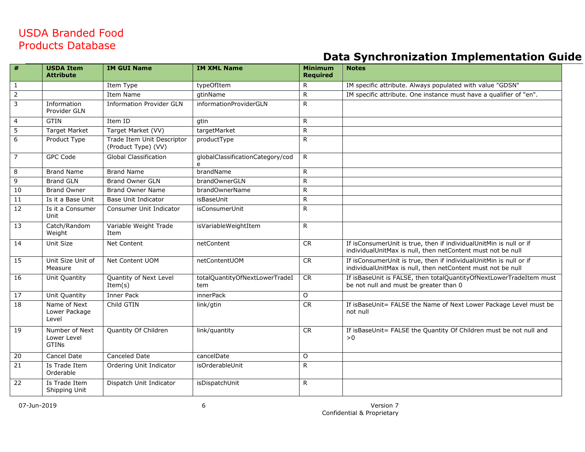|                 | <b>USDA Item</b><br><b>Attribute</b>          | <b>IM GUI Name</b>                                | <b>IM XML Name</b>                    | <b>Minimum</b><br><b>Required</b> | <b>Notes</b>                                                                                                                      |
|-----------------|-----------------------------------------------|---------------------------------------------------|---------------------------------------|-----------------------------------|-----------------------------------------------------------------------------------------------------------------------------------|
| $\mathbf{1}$    |                                               | Item Type                                         | typeOfItem                            | R                                 | IM specific attribute. Always populated with value "GDSN"                                                                         |
| $\overline{2}$  |                                               | Item Name                                         | gtinName                              | R                                 | IM specific attribute. One instance must have a qualifier of "en".                                                                |
| $\overline{3}$  | Information<br>Provider GLN                   | <b>Information Provider GLN</b>                   | informationProviderGLN                | $\mathsf{R}$                      |                                                                                                                                   |
| $\overline{4}$  | <b>GTIN</b>                                   | Item ID                                           | gtin                                  | $\mathsf{R}$                      |                                                                                                                                   |
| $\overline{5}$  | <b>Target Market</b>                          | Target Market (VV)                                | targetMarket                          | $\mathsf{R}$                      |                                                                                                                                   |
| 6               | Product Type                                  | Trade Item Unit Descriptor<br>(Product Type) (VV) | productType                           | R                                 |                                                                                                                                   |
| $\overline{7}$  | <b>GPC Code</b>                               | <b>Global Classification</b>                      | globalClassificationCategory/cod<br>e | $\mathsf{R}$                      |                                                                                                                                   |
| 8               | <b>Brand Name</b>                             | <b>Brand Name</b>                                 | brandName                             | $\mathsf{R}$                      |                                                                                                                                   |
| 9               | <b>Brand GLN</b>                              | <b>Brand Owner GLN</b>                            | brandOwnerGLN                         | $\mathsf{R}$                      |                                                                                                                                   |
| 10              | <b>Brand Owner</b>                            | <b>Brand Owner Name</b>                           | brandOwnerName                        | $\mathsf{R}$                      |                                                                                                                                   |
| $\overline{11}$ | Is it a Base Unit                             | <b>Base Unit Indicator</b>                        | isBaseUnit                            | $\mathsf{R}$                      |                                                                                                                                   |
| 12              | Is it a Consumer<br>Unit                      | Consumer Unit Indicator                           | <i>isConsumerUnit</i>                 | R                                 |                                                                                                                                   |
| $\overline{13}$ | Catch/Random<br>Weight                        | Variable Weight Trade<br>Item                     | isVariableWeightItem                  | $\mathsf{R}$                      |                                                                                                                                   |
| 14              | Unit Size                                     | Net Content                                       | netContent                            | <b>CR</b>                         | If isConsumerUnit is true, then if individualUnitMin is null or if<br>individualUnitMax is null, then netContent must not be null |
| 15              | Unit Size Unit of<br>Measure                  | Net Content UOM                                   | netContentUOM                         | CR                                | If isConsumerUnit is true, then if individualUnitMin is null or if<br>individualUnitMax is null, then netContent must not be null |
| 16              | Unit Quantity                                 | Quantity of Next Level<br>Item $(s)$              | totalQuantityOfNextLowerTradeI<br>tem | CR                                | If isBaseUnit is FALSE, then totalQuantityOfNextLowerTradeItem must<br>be not null and must be greater than 0                     |
| $\overline{17}$ | Unit Quantity                                 | Inner Pack                                        | innerPack                             | $\circ$                           |                                                                                                                                   |
| 18              | Name of Next<br>Lower Package<br>Level        | Child GTIN                                        | link/gtin                             | CR                                | If isBaseUnit= FALSE the Name of Next Lower Package Level must be<br>not null                                                     |
| 19              | Number of Next<br>Lower Level<br><b>GTINS</b> | Quantity Of Children                              | link/quantity                         | CR                                | If isBaseUnit= FALSE the Quantity Of Children must be not null and<br>>0                                                          |
| 20              | Cancel Date                                   | Canceled Date                                     | cancelDate                            | O                                 |                                                                                                                                   |
| 21              | Is Trade Item<br>Orderable                    | Ordering Unit Indicator                           | isOrderableUnit                       | $\mathsf{R}$                      |                                                                                                                                   |
| 22              | Is Trade Item<br>Shipping Unit                | Dispatch Unit Indicator                           | isDispatchUnit                        | $\mathsf{R}$                      |                                                                                                                                   |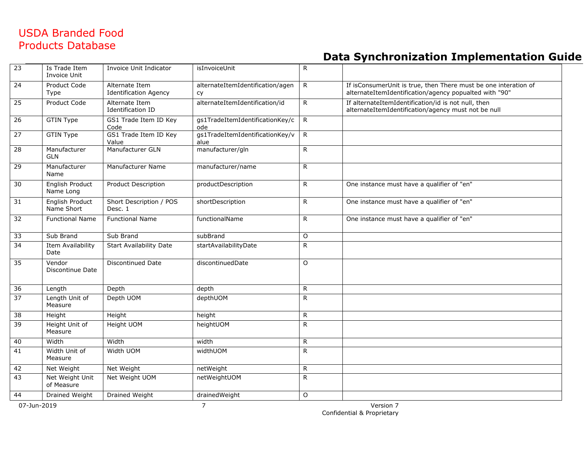| 23              | Is Trade Item<br>Invoice Unit        | Invoice Unit Indicator                         | isInvoiceUnit                                 | $\mathsf{R}$ |                                                                                                                           |
|-----------------|--------------------------------------|------------------------------------------------|-----------------------------------------------|--------------|---------------------------------------------------------------------------------------------------------------------------|
| 24              | Product Code<br>Type                 | Alternate Item<br><b>Identification Agency</b> | alternateItemIdentification/agen<br><b>CY</b> | $\mathsf{R}$ | If isConsumerUnit is true, then There must be one interation of<br>alternateItemIdentification/agency popualted with "90" |
| $\overline{25}$ | Product Code                         | Alternate Item<br>Identification ID            | alternateItemIdentification/id                | $\mathsf{R}$ | If alternateItemIdentification/id is not null, then<br>alternateItemIdentification/agency must not be null                |
| 26              | <b>GTIN Type</b>                     | GS1 Trade Item ID Key<br>Code                  | gs1TradeItemIdentificationKey/c<br>ode        | $\mathsf{R}$ |                                                                                                                           |
| $\overline{27}$ | <b>GTIN Type</b>                     | GS1 Trade Item ID Key<br>Value                 | qs1TradeItemIdentificationKey/v<br>alue       | $\mathsf{R}$ |                                                                                                                           |
| $\overline{28}$ | Manufacturer<br><b>GLN</b>           | Manufacturer GLN                               | manufacturer/gln                              | $\mathsf{R}$ |                                                                                                                           |
| 29              | Manufacturer<br>Name                 | Manufacturer Name                              | manufacturer/name                             | R.           |                                                                                                                           |
| 30              | English Product<br>Name Long         | <b>Product Description</b>                     | productDescription                            | $\mathsf{R}$ | One instance must have a qualifier of "en"                                                                                |
| 31              | <b>English Product</b><br>Name Short | Short Description / POS<br>Desc. 1             | shortDescription                              | $\mathsf{R}$ | One instance must have a qualifier of "en"                                                                                |
| 32              | <b>Functional Name</b>               | <b>Functional Name</b>                         | functionalName                                | $\mathsf{R}$ | One instance must have a qualifier of "en"                                                                                |
| 33              | Sub Brand                            | Sub Brand                                      | subBrand                                      | $\circ$      |                                                                                                                           |
| 34              | Item Availability<br>Date            | <b>Start Availability Date</b>                 | startAvailabilityDate                         | R            |                                                                                                                           |
| 35              | Vendor<br>Discontinue Date           | Discontinued Date                              | discontinuedDate                              | $\circ$      |                                                                                                                           |
| 36              | Length                               | Depth                                          | depth                                         | $\mathsf{R}$ |                                                                                                                           |
| $\overline{37}$ | Length Unit of<br>Measure            | Depth UOM                                      | depthUOM                                      | R.           |                                                                                                                           |
| $\overline{38}$ | Height                               | Height                                         | height                                        | $\mathsf{R}$ |                                                                                                                           |
| 39              | Height Unit of<br>Measure            | Height UOM                                     | heightUOM                                     | $\mathsf{R}$ |                                                                                                                           |
| 40              | Width                                | Width                                          | width                                         | R            |                                                                                                                           |
| 41              | Width Unit of<br>Measure             | Width UOM                                      | widthUOM                                      | R            |                                                                                                                           |
| 42              | Net Weight                           | Net Weight                                     | netWeight                                     | ${\sf R}$    |                                                                                                                           |
| 43              | Net Weight Unit<br>of Measure        | Net Weight UOM                                 | netWeightUOM                                  | R            |                                                                                                                           |
| 44              | Drained Weight                       | <b>Drained Weight</b>                          | drainedWeight                                 | 0            |                                                                                                                           |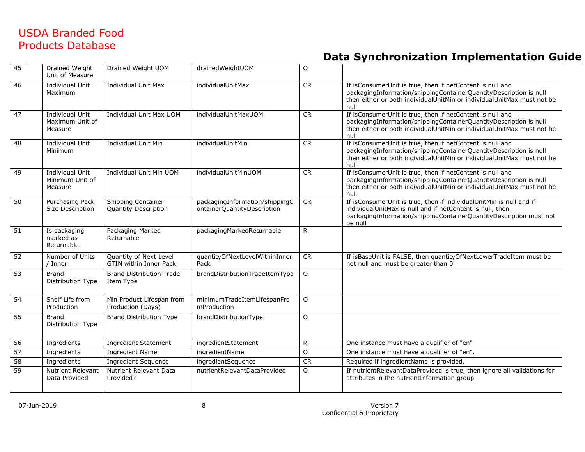| 45              | Drained Weight<br>Unit of Measure             | Drained Weight UOM                                      | drainedWeightUOM                                              | $\circ$      |                                                                                                                                                                                                                      |
|-----------------|-----------------------------------------------|---------------------------------------------------------|---------------------------------------------------------------|--------------|----------------------------------------------------------------------------------------------------------------------------------------------------------------------------------------------------------------------|
| 46              | Individual Unit<br>Maximum                    | <b>Individual Unit Max</b>                              | individualUnitMax                                             | CR           | If isConsumerUnit is true, then if netContent is null and<br>packagingInformation/shippingContainerQuantityDescription is null<br>then either or both individual Unit Min or individual Unit Max must not be<br>null |
| 47              | Individual Unit<br>Maximum Unit of<br>Measure | Individual Unit Max UOM                                 | individualUnitMaxUOM                                          | CR           | If isConsumerUnit is true, then if netContent is null and<br>packagingInformation/shippingContainerQuantityDescription is null<br>then either or both individualUnitMin or individualUnitMax must not be<br>null     |
| 48              | Individual Unit<br>Minimum                    | Individual Unit Min                                     | individualUnitMin                                             | <b>CR</b>    | If isConsumerUnit is true, then if netContent is null and<br>packagingInformation/shippingContainerQuantityDescription is null<br>then either or both individualUnitMin or individualUnitMax must not be<br>null     |
| 49              | Individual Unit<br>Minimum Unit of<br>Measure | Individual Unit Min UOM                                 | individualUnitMinUOM                                          | <b>CR</b>    | If isConsumerUnit is true, then if netContent is null and<br>packagingInformation/shippingContainerQuantityDescription is null<br>then either or both individualUnitMin or individualUnitMax must not be<br>null     |
| 50              | Purchasing Pack<br>Size Description           | Shipping Container<br><b>Quantity Description</b>       | packagingInformation/shippingC<br>ontainerQuantityDescription | <b>CR</b>    | If isConsumerUnit is true, then if individualUnitMin is null and if<br>individualUnitMax is null and if netContent is null, then<br>packagingInformation/shippingContainerQuantityDescription must not<br>be null    |
| $\overline{51}$ | Is packaging<br>marked as<br>Returnable       | Packaging Marked<br>Returnable                          | packagingMarkedReturnable                                     | $\mathsf{R}$ |                                                                                                                                                                                                                      |
| $\overline{52}$ | Number of Units<br>/ Inner                    | Quantity of Next Level<br><b>GTIN within Inner Pack</b> | quantityOfNextLevelWithinInner<br>Pack                        | <b>CR</b>    | If isBaseUnit is FALSE, then quantityOfNextLowerTradeItem must be<br>not null and must be greater than 0                                                                                                             |
| $\overline{53}$ | <b>Brand</b><br>Distribution Type             | <b>Brand Distribution Trade</b><br>Item Type            | brandDistributionTradeItemType                                | $\circ$      |                                                                                                                                                                                                                      |
| 54              | Shelf Life from<br>Production                 | Min Product Lifespan from<br>Production (Days)          | minimumTradeItemLifespanFro<br>mProduction                    | $\circ$      |                                                                                                                                                                                                                      |
| 55              | <b>Brand</b><br>Distribution Type             | <b>Brand Distribution Type</b>                          | brandDistributionType                                         | $\circ$      |                                                                                                                                                                                                                      |
| $\overline{56}$ | Ingredients                                   | <b>Ingredient Statement</b>                             | ingredientStatement                                           | $\mathsf{R}$ | One instance must have a qualifier of "en"                                                                                                                                                                           |
| 57              | Ingredients                                   | <b>Ingredient Name</b>                                  | ingredientName                                                | O            | One instance must have a qualifier of "en".                                                                                                                                                                          |
| $\overline{58}$ | Ingredients                                   | <b>Ingredient Sequence</b>                              | ingredientSequence                                            | <b>CR</b>    | Required if ingredientName is provided.                                                                                                                                                                              |
| 59              | <b>Nutrient Relevant</b><br>Data Provided     | Nutrient Relevant Data<br>Provided?                     | nutrientRelevantDataProvided                                  | $\Omega$     | If nutrientRelevantDataProvided is true, then ignore all validations for<br>attributes in the nutrientInformation group                                                                                              |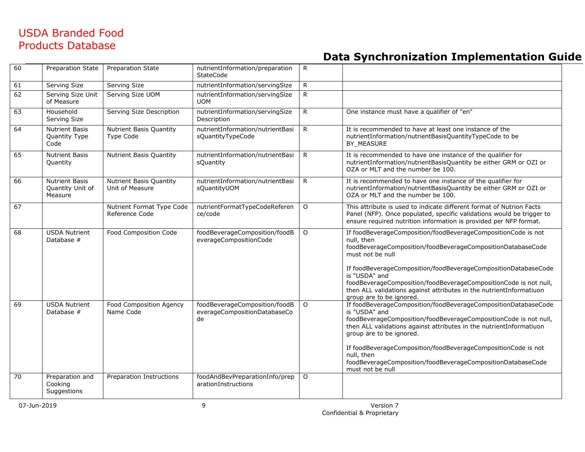| 60 | Preparation State                                    | <b>Preparation State</b>                           | nutrientInformation/preparation<br><b>StateCode</b>                 | $\mathsf{R}$   |                                                                                                                                                                                                                                                                                                                                                                                                                                                      |
|----|------------------------------------------------------|----------------------------------------------------|---------------------------------------------------------------------|----------------|------------------------------------------------------------------------------------------------------------------------------------------------------------------------------------------------------------------------------------------------------------------------------------------------------------------------------------------------------------------------------------------------------------------------------------------------------|
| 61 | Serving Size                                         | Serving Size                                       | nutrientInformation/servingSize                                     | $\mathsf{R}$   |                                                                                                                                                                                                                                                                                                                                                                                                                                                      |
| 62 | Serving Size Unit<br>of Measure                      | Serving Size UOM                                   | nutrientInformation/servingSize<br><b>UOM</b>                       | $\mathsf{R}$   |                                                                                                                                                                                                                                                                                                                                                                                                                                                      |
| 63 | Household<br>Serving Size                            | Serving Size Description                           | nutrientInformation/servingSize<br>Description                      | R              | One instance must have a qualifier of "en"                                                                                                                                                                                                                                                                                                                                                                                                           |
| 64 | <b>Nutrient Basis</b><br>Quantity Type<br>Code       | <b>Nutrient Basis Quantity</b><br><b>Type Code</b> | nutrientInformation/nutrientBasi<br>sQuantityTypeCode               | $\mathsf{R}$   | It is recommended to have at least one instance of the<br>nutrientInformation/nutrientBasisQuantityTypeCode to be<br>BY_MEASURE                                                                                                                                                                                                                                                                                                                      |
| 65 | <b>Nutrient Basis</b><br>Quantity                    | Nutrient Basis Quantity                            | nutrientInformation/nutrientBasi<br>sQuantity                       | $\mathsf{R}$   | It is recommended to have one instance of the qualifier for<br>nutrientInformation/nutrientBasisQuantity be either GRM or OZI or<br>OZA or MLT and the number be 100.                                                                                                                                                                                                                                                                                |
| 66 | <b>Nutrient Basis</b><br>Quantity Unit of<br>Measure | Nutrient Basis Quantity<br>Unit of Measure         | nutrientInformation/nutrientBasi<br>sQuantityUOM                    | $\mathsf{R}$   | It is recommended to have one instance of the qualifier for<br>nutrientInformation/nutrientBasisQuantity be either GRM or OZI or<br>OZA or MLT and the number be 100.                                                                                                                                                                                                                                                                                |
| 67 |                                                      | Nutrient Format Type Code<br>Reference Code        | nutrientFormatTypeCodeReferen<br>ce/code                            | $\circ$        | This attribute is used to indicate different format of Nutrion Facts<br>Panel (NFP). Once populated, specific validations would be trigger to<br>ensure required nutrition information is provided per NFP format.                                                                                                                                                                                                                                   |
| 68 | <b>USDA Nutrient</b><br>Database $#$                 | <b>Food Composition Code</b>                       | foodBeverageComposition/foodB<br>everageCompositionCode             | $\overline{O}$ | If foodBeverageComposition/foodBeverageCompositionCode is not<br>null, then<br>foodBeverageComposition/foodBeverageCompositionDatabaseCode<br>must not be null<br>If foodBeverageComposition/foodBeverageCompositionDatabaseCode<br>is "USDA" and<br>foodBeverageComposition/foodBeverageCompositionCode is not null,<br>then ALL validations against attributes in the nutrientInformatiuon                                                         |
| 69 | <b>USDA Nutrient</b><br>Database $#$                 | Food Composition Agency<br>Name Code               | foodBeverageComposition/foodB<br>everageCompositionDatabaseCo<br>de | $\circ$        | group are to be janored.<br>If foodBeverageComposition/foodBeverageCompositionDatabaseCode<br>is "USDA" and<br>foodBeverageComposition/foodBeverageCompositionCode is not null,<br>then ALL validations against attributes in the nutrientInformatiuon<br>group are to be ignored.<br>If foodBeverageComposition/foodBeverageCompositionCode is not<br>null, then<br>foodBeverageComposition/foodBeverageCompositionDatabaseCode<br>must not be null |
| 70 | Preparation and<br>Cooking<br>Suggestions            | Preparation Instructions                           | foodAndBevPreparationInfo/prep<br>arationInstructions               | $\circ$        |                                                                                                                                                                                                                                                                                                                                                                                                                                                      |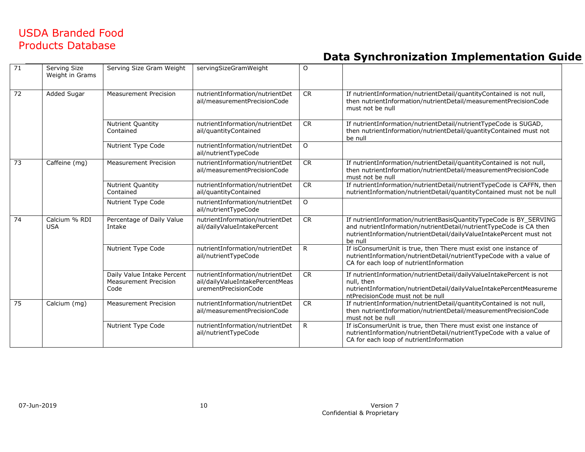| $\overline{71}$ | Serving Size<br>Weight in Grams | Serving Size Gram Weight                                           | servingSizeGramWeight                                                                      | $\Omega$     |                                                                                                                                                                                                                            |
|-----------------|---------------------------------|--------------------------------------------------------------------|--------------------------------------------------------------------------------------------|--------------|----------------------------------------------------------------------------------------------------------------------------------------------------------------------------------------------------------------------------|
| $\overline{72}$ | Added Sugar                     | <b>Measurement Precision</b>                                       | nutrientInformation/nutrientDet<br>ail/measurementPrecisionCode                            | <b>CR</b>    | If nutrientInformation/nutrientDetail/quantityContained is not null,<br>then nutrientInformation/nutrientDetail/measurementPrecisionCode<br>must not be null                                                               |
|                 |                                 | Nutrient Quantity<br>Contained                                     | nutrientInformation/nutrientDet<br>ail/quantityContained                                   | <b>CR</b>    | If nutrientInformation/nutrientDetail/nutrientTypeCode is SUGAD,<br>then nutrientInformation/nutrientDetail/guantityContained must not<br>be null                                                                          |
|                 |                                 | Nutrient Type Code                                                 | nutrientInformation/nutrientDet<br>ail/nutrientTypeCode                                    | $\circ$      |                                                                                                                                                                                                                            |
| 73              | Caffeine (mg)                   | <b>Measurement Precision</b>                                       | nutrientInformation/nutrientDet<br>ail/measurementPrecisionCode                            | <b>CR</b>    | If nutrientInformation/nutrientDetail/quantityContained is not null,<br>then nutrientInformation/nutrientDetail/measurementPrecisionCode<br>must not be null                                                               |
|                 |                                 | Nutrient Quantity<br>Contained                                     | nutrientInformation/nutrientDet<br>ail/quantityContained                                   | <b>CR</b>    | If nutrientInformation/nutrientDetail/nutrientTypeCode is CAFFN, then<br>nutrientInformation/nutrientDetail/quantityContained must not be null                                                                             |
|                 |                                 | Nutrient Type Code                                                 | nutrientInformation/nutrientDet<br>ail/nutrientTypeCode                                    | $\circ$      |                                                                                                                                                                                                                            |
| 74              | Calcium % RDI<br><b>USA</b>     | Percentage of Daily Value<br>Intake                                | nutrientInformation/nutrientDet<br>ail/dailyValueIntakePercent                             | <b>CR</b>    | If nutrientInformation/nutrientBasisQuantityTypeCode is BY_SERVING<br>and nutrientInformation/nutrientDetail/nutrientTypeCode is CA then<br>nutrientInformation/nutrientDetail/dailyValueIntakePercent must not<br>be null |
|                 |                                 | Nutrient Type Code                                                 | nutrientInformation/nutrientDet<br>ail/nutrientTypeCode                                    | R            | If isConsumerUnit is true, then There must exist one instance of<br>nutrientInformation/nutrientDetail/nutrientTypeCode with a value of<br>CA for each loop of nutrientInformation                                         |
|                 |                                 | Daily Value Intake Percent<br><b>Measurement Precision</b><br>Code | nutrientInformation/nutrientDet<br>ail/dailyValueIntakePercentMeas<br>urementPrecisionCode | <b>CR</b>    | If nutrientInformation/nutrientDetail/dailyValueIntakePercent is not<br>null, then<br>nutrientInformation/nutrientDetail/dailyValueIntakePercentMeasureme<br>ntPrecisionCode must not be null                              |
| 75              | Calcium (mg)                    | <b>Measurement Precision</b>                                       | nutrientInformation/nutrientDet<br>ail/measurementPrecisionCode                            | <b>CR</b>    | If nutrientInformation/nutrientDetail/quantityContained is not null,<br>then nutrientInformation/nutrientDetail/measurementPrecisionCode<br>must not be null                                                               |
|                 |                                 | Nutrient Type Code                                                 | nutrientInformation/nutrientDet<br>ail/nutrientTypeCode                                    | $\mathsf{R}$ | If isConsumerUnit is true, then There must exist one instance of<br>nutrientInformation/nutrientDetail/nutrientTypeCode with a value of<br>CA for each loop of nutrientInformation                                         |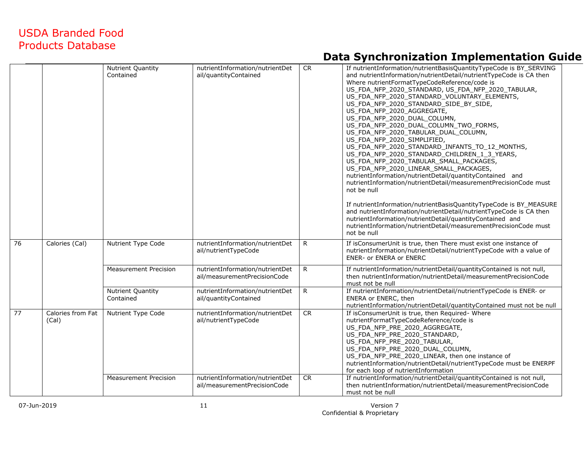|    |                            | Nutrient Quantity<br>Contained        | nutrientInformation/nutrientDet<br>ail/quantityContained        | <b>CR</b>    | If nutrientInformation/nutrientBasisQuantityTypeCode is BY_SERVING<br>and nutrientInformation/nutrientDetail/nutrientTypeCode is CA then<br>Where nutrientFormatTypeCodeReference/code is<br>US_FDA_NFP_2020_STANDARD, US_FDA_NFP_2020_TABULAR,<br>US_FDA_NFP_2020_STANDARD_VOLUNTARY_ELEMENTS,<br>US_FDA_NFP_2020_STANDARD_SIDE_BY_SIDE,<br>US_FDA_NFP_2020_AGGREGATE,<br>US_FDA_NFP_2020_DUAL_COLUMN,<br>US_FDA_NFP_2020_DUAL_COLUMN_TWO_FORMS,<br>US_FDA_NFP_2020_TABULAR_DUAL_COLUMN,<br>US_FDA_NFP_2020_SIMPLIFIED,<br>US_FDA_NFP_2020_STANDARD_INFANTS_TO_12_MONTHS,<br>US_FDA_NFP_2020_STANDARD_CHILDREN_1_3_YEARS,<br>US_FDA_NFP_2020_TABULAR_SMALL_PACKAGES,<br>US_FDA_NFP_2020_LINEAR_SMALL_PACKAGES,<br>nutrientInformation/nutrientDetail/quantityContained and<br>nutrientInformation/nutrientDetail/measurementPrecisionCode must<br>not be null<br>If nutrientInformation/nutrientBasisQuantityTypeCode is BY_MEASURE<br>and nutrientInformation/nutrientDetail/nutrientTypeCode is CA then<br>nutrientInformation/nutrientDetail/quantityContained and<br>nutrientInformation/nutrientDetail/measurementPrecisionCode must<br>not be null |
|----|----------------------------|---------------------------------------|-----------------------------------------------------------------|--------------|-----------------------------------------------------------------------------------------------------------------------------------------------------------------------------------------------------------------------------------------------------------------------------------------------------------------------------------------------------------------------------------------------------------------------------------------------------------------------------------------------------------------------------------------------------------------------------------------------------------------------------------------------------------------------------------------------------------------------------------------------------------------------------------------------------------------------------------------------------------------------------------------------------------------------------------------------------------------------------------------------------------------------------------------------------------------------------------------------------------------------------------------------------------|
| 76 | Calories (Cal)             | Nutrient Type Code                    | nutrientInformation/nutrientDet<br>ail/nutrientTypeCode         | $\mathsf{R}$ | If isConsumerUnit is true, then There must exist one instance of<br>nutrientInformation/nutrientDetail/nutrientTypeCode with a value of<br><b>ENER- or ENERA or ENERC</b>                                                                                                                                                                                                                                                                                                                                                                                                                                                                                                                                                                                                                                                                                                                                                                                                                                                                                                                                                                                 |
|    |                            | <b>Measurement Precision</b>          | nutrientInformation/nutrientDet<br>ail/measurementPrecisionCode | $\mathsf{R}$ | If nutrientInformation/nutrientDetail/quantityContained is not null,<br>then nutrientInformation/nutrientDetail/measurementPrecisionCode<br>must not be null                                                                                                                                                                                                                                                                                                                                                                                                                                                                                                                                                                                                                                                                                                                                                                                                                                                                                                                                                                                              |
|    |                            | <b>Nutrient Quantity</b><br>Contained | nutrientInformation/nutrientDet<br>ail/quantityContained        | R            | If nutrientInformation/nutrientDetail/nutrientTypeCode is ENER- or<br>ENERA or ENERC, then<br>nutrientInformation/nutrientDetail/quantityContained must not be null                                                                                                                                                                                                                                                                                                                                                                                                                                                                                                                                                                                                                                                                                                                                                                                                                                                                                                                                                                                       |
| 77 | Calories from Fat<br>(Cal) | Nutrient Type Code                    | nutrientInformation/nutrientDet<br>ail/nutrientTypeCode         | <b>CR</b>    | If isConsumerUnit is true, then Required-Where<br>nutrientFormatTypeCodeReference/code is<br>US FDA NFP PRE 2020 AGGREGATE,<br>US_FDA_NFP_PRE_2020_STANDARD,<br>US_FDA_NFP_PRE_2020_TABULAR,<br>US_FDA_NFP_PRE_2020_DUAL_COLUMN,<br>US_FDA_NFP_PRE_2020_LINEAR, then one instance of<br>nutrientInformation/nutrientDetail/nutrientTypeCode must be ENERPF<br>for each loop of nutrientInformation                                                                                                                                                                                                                                                                                                                                                                                                                                                                                                                                                                                                                                                                                                                                                        |
|    |                            | <b>Measurement Precision</b>          | nutrientInformation/nutrientDet<br>ail/measurementPrecisionCode | <b>CR</b>    | If nutrientInformation/nutrientDetail/quantityContained is not null,<br>then nutrientInformation/nutrientDetail/measurementPrecisionCode<br>must not be null                                                                                                                                                                                                                                                                                                                                                                                                                                                                                                                                                                                                                                                                                                                                                                                                                                                                                                                                                                                              |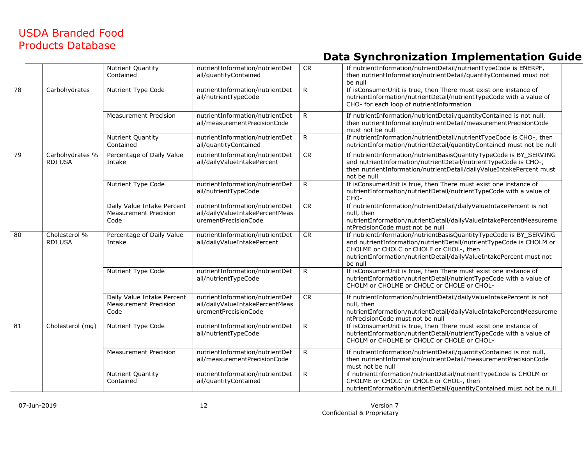|                 |                                 | Nutrient Quantity<br>Contained                                     | nutrientInformation/nutrientDet<br>ail/quantityContained                                   | <b>CR</b>    | If nutrientInformation/nutrientDetail/nutrientTypeCode is ENERPF,<br>then nutrientInformation/nutrientDetail/quantityContained must not<br>be null                                                                                                                     |
|-----------------|---------------------------------|--------------------------------------------------------------------|--------------------------------------------------------------------------------------------|--------------|------------------------------------------------------------------------------------------------------------------------------------------------------------------------------------------------------------------------------------------------------------------------|
| $\overline{78}$ | Carbohydrates                   | Nutrient Type Code                                                 | nutrientInformation/nutrientDet<br>ail/nutrientTypeCode                                    | $\mathsf{R}$ | If isConsumerUnit is true, then There must exist one instance of<br>nutrientInformation/nutrientDetail/nutrientTypeCode with a value of<br>CHO- for each loop of nutrientInformation                                                                                   |
|                 |                                 | Measurement Precision                                              | nutrientInformation/nutrientDet<br>ail/measurementPrecisionCode                            | $\mathsf{R}$ | If nutrientInformation/nutrientDetail/quantityContained is not null,<br>then nutrientInformation/nutrientDetail/measurementPrecisionCode<br>must not be null                                                                                                           |
|                 |                                 | Nutrient Quantity<br>Contained                                     | nutrientInformation/nutrientDet<br>ail/quantityContained                                   | $\mathsf{R}$ | If nutrientInformation/nutrientDetail/nutrientTypeCode is CHO-, then<br>nutrientInformation/nutrientDetail/quantityContained must not be null                                                                                                                          |
| 79              | Carbohydrates %<br>RDI USA      | Percentage of Daily Value<br>Intake                                | nutrientInformation/nutrientDet<br>ail/dailyValueIntakePercent                             | <b>CR</b>    | If nutrientInformation/nutrientBasisQuantityTypeCode is BY_SERVING<br>and nutrientInformation/nutrientDetail/nutrientTypeCode is CHO-,<br>then nutrientInformation/nutrientDetail/dailyValueIntakePercent must<br>not be null                                          |
|                 |                                 | Nutrient Type Code                                                 | nutrientInformation/nutrientDet<br>ail/nutrientTypeCode                                    | $\mathsf{R}$ | If isConsumerUnit is true, then There must exist one instance of<br>nutrientInformation/nutrientDetail/nutrientTypeCode with a value of<br>CHO-                                                                                                                        |
|                 |                                 | Daily Value Intake Percent<br><b>Measurement Precision</b><br>Code | nutrientInformation/nutrientDet<br>ail/dailyValueIntakePercentMeas<br>urementPrecisionCode | <b>CR</b>    | If nutrientInformation/nutrientDetail/dailyValueIntakePercent is not<br>null, then<br>nutrientInformation/nutrientDetail/dailyValueIntakePercentMeasureme<br>ntPrecisionCode must not be null                                                                          |
| 80              | Cholesterol %<br><b>RDI USA</b> | Percentage of Daily Value<br>Intake                                | nutrientInformation/nutrientDet<br>ail/dailyValueIntakePercent                             | CR           | If nutrientInformation/nutrientBasisQuantityTypeCode is BY_SERVING<br>and nutrientInformation/nutrientDetail/nutrientTypeCode is CHOLM or<br>CHOLME or CHOLC or CHOLE or CHOL-, then<br>nutrientInformation/nutrientDetail/dailyValueIntakePercent must not<br>be null |
|                 |                                 | Nutrient Type Code                                                 | nutrientInformation/nutrientDet<br>ail/nutrientTypeCode                                    | R            | If isConsumerUnit is true, then There must exist one instance of<br>nutrientInformation/nutrientDetail/nutrientTypeCode with a value of<br>CHOLM or CHOLME or CHOLC or CHOLE or CHOL-                                                                                  |
|                 |                                 | Daily Value Intake Percent<br><b>Measurement Precision</b><br>Code | nutrientInformation/nutrientDet<br>ail/dailyValueIntakePercentMeas<br>urementPrecisionCode | <b>CR</b>    | If nutrientInformation/nutrientDetail/dailyValueIntakePercent is not<br>null, then<br>nutrientInformation/nutrientDetail/dailyValueIntakePercentMeasureme<br>ntPrecisionCode must not be null                                                                          |
| 81              | Cholesterol (mg)                | Nutrient Type Code                                                 | nutrientInformation/nutrientDet<br>ail/nutrientTypeCode                                    | R            | If isConsumerUnit is true, then There must exist one instance of<br>nutrientInformation/nutrientDetail/nutrientTypeCode with a value of<br>CHOLM or CHOLME or CHOLC or CHOLE or CHOL-                                                                                  |
|                 |                                 | <b>Measurement Precision</b>                                       | nutrientInformation/nutrientDet<br>ail/measurementPrecisionCode                            | R            | If nutrientInformation/nutrientDetail/quantityContained is not null,<br>then nutrientInformation/nutrientDetail/measurementPrecisionCode<br>must not be null                                                                                                           |
|                 |                                 | Nutrient Quantity<br>Contained                                     | nutrientInformation/nutrientDet<br>ail/quantityContained                                   | $\mathsf{R}$ | if nutrientInformation/nutrientDetail/nutrientTypeCode is CHOLM or<br>CHOLME or CHOLC or CHOLE or CHOL-, then<br>nutrientInformation/nutrientDetail/quantityContained must not be null                                                                                 |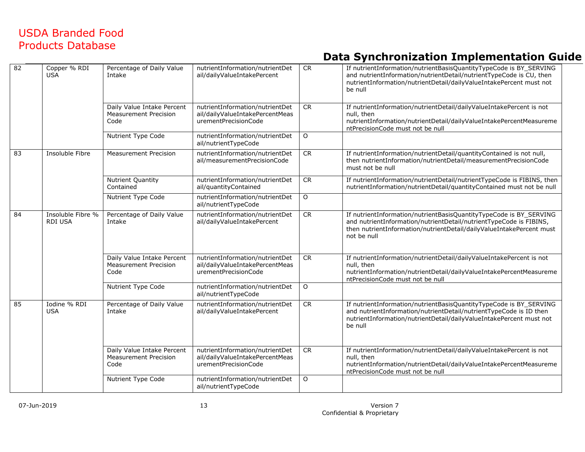| 82 | Copper % RDI<br><b>USA</b>          | Percentage of Daily Value<br>Intake                                | nutrientInformation/nutrientDet<br>ail/dailyValueIntakePercent                             | ${\sf CR}$ | If nutrientInformation/nutrientBasisQuantityTypeCode is BY_SERVING<br>and nutrientInformation/nutrientDetail/nutrientTypeCode is CU, then<br>nutrientInformation/nutrientDetail/dailyValueIntakePercent must not<br>be null     |
|----|-------------------------------------|--------------------------------------------------------------------|--------------------------------------------------------------------------------------------|------------|---------------------------------------------------------------------------------------------------------------------------------------------------------------------------------------------------------------------------------|
|    |                                     | Daily Value Intake Percent<br><b>Measurement Precision</b><br>Code | nutrientInformation/nutrientDet<br>ail/dailyValueIntakePercentMeas<br>urementPrecisionCode | CR         | If nutrientInformation/nutrientDetail/dailyValueIntakePercent is not<br>null, then<br>nutrientInformation/nutrientDetail/dailyValueIntakePercentMeasureme<br>ntPrecisionCode must not be null                                   |
|    |                                     | Nutrient Type Code                                                 | nutrientInformation/nutrientDet<br>ail/nutrientTypeCode                                    | $\circ$    |                                                                                                                                                                                                                                 |
| 83 | <b>Insoluble Fibre</b>              | <b>Measurement Precision</b>                                       | nutrientInformation/nutrientDet<br>ail/measurementPrecisionCode                            | CR         | If nutrientInformation/nutrientDetail/quantityContained is not null,<br>then nutrientInformation/nutrientDetail/measurementPrecisionCode<br>must not be null                                                                    |
|    |                                     | Nutrient Quantity<br>Contained                                     | nutrientInformation/nutrientDet<br>ail/quantityContained                                   | CR         | If nutrientInformation/nutrientDetail/nutrientTypeCode is FIBINS, then<br>nutrientInformation/nutrientDetail/quantityContained must not be null                                                                                 |
|    |                                     | Nutrient Type Code                                                 | nutrientInformation/nutrientDet<br>ail/nutrientTypeCode                                    | $\circ$    |                                                                                                                                                                                                                                 |
| 84 | Insoluble Fibre %<br><b>RDI USA</b> | Percentage of Daily Value<br>Intake                                | nutrientInformation/nutrientDet<br>ail/dailyValueIntakePercent                             | CR         | If nutrientInformation/nutrientBasisQuantityTypeCode is BY_SERVING<br>and nutrientInformation/nutrientDetail/nutrientTypeCode is FIBINS,<br>then nutrientInformation/nutrientDetail/dailyValueIntakePercent must<br>not be null |
|    |                                     | Daily Value Intake Percent<br><b>Measurement Precision</b><br>Code | nutrientInformation/nutrientDet<br>ail/dailyValueIntakePercentMeas<br>urementPrecisionCode | <b>CR</b>  | If nutrientInformation/nutrientDetail/dailyValueIntakePercent is not<br>null, then<br>nutrientInformation/nutrientDetail/dailyValueIntakePercentMeasureme<br>ntPrecisionCode must not be null                                   |
|    |                                     | Nutrient Type Code                                                 | nutrientInformation/nutrientDet<br>ail/nutrientTypeCode                                    | O          |                                                                                                                                                                                                                                 |
| 85 | Iodine % RDI<br><b>USA</b>          | Percentage of Daily Value<br>Intake                                | nutrientInformation/nutrientDet<br>ail/dailyValueIntakePercent                             | CR         | If nutrientInformation/nutrientBasisQuantityTypeCode is BY_SERVING<br>and nutrientInformation/nutrientDetail/nutrientTypeCode is ID then<br>nutrientInformation/nutrientDetail/dailyValueIntakePercent must not<br>be null      |
|    |                                     | Daily Value Intake Percent<br><b>Measurement Precision</b><br>Code | nutrientInformation/nutrientDet<br>ail/dailyValueIntakePercentMeas<br>urementPrecisionCode | CR         | If nutrientInformation/nutrientDetail/dailyValueIntakePercent is not<br>null, then<br>nutrientInformation/nutrientDetail/dailyValueIntakePercentMeasureme<br>ntPrecisionCode must not be null                                   |
|    |                                     | Nutrient Type Code                                                 | nutrientInformation/nutrientDet<br>ail/nutrientTypeCode                                    | O          |                                                                                                                                                                                                                                 |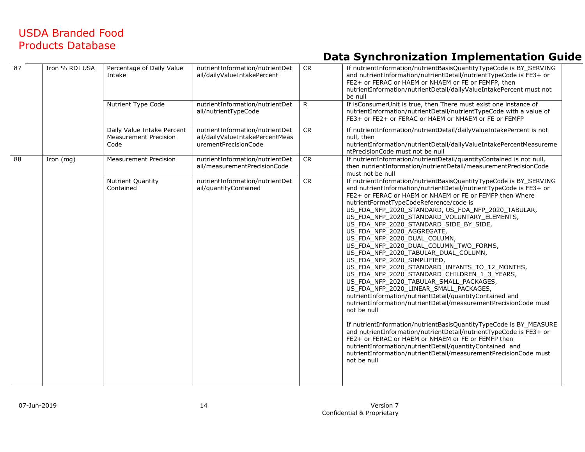| 87 | Iron % RDI USA | Percentage of Daily Value<br>Intake                                | nutrientInformation/nutrientDet<br>ail/dailyValueIntakePercent                             | ${\sf CR}$ | If nutrientInformation/nutrientBasisQuantityTypeCode is BY SERVING<br>and nutrientInformation/nutrientDetail/nutrientTypeCode is FE3+ or<br>FE2+ or FERAC or HAEM or NHAEM or FE or FEMFP, then<br>nutrientInformation/nutrientDetail/dailyValueIntakePercent must not<br>be null                                                                                                                                                                                                                                                                                                                                                                                                                                                                                                                                                                                                                                                                                                                                                                                                                                                                                                                                                                                     |
|----|----------------|--------------------------------------------------------------------|--------------------------------------------------------------------------------------------|------------|-----------------------------------------------------------------------------------------------------------------------------------------------------------------------------------------------------------------------------------------------------------------------------------------------------------------------------------------------------------------------------------------------------------------------------------------------------------------------------------------------------------------------------------------------------------------------------------------------------------------------------------------------------------------------------------------------------------------------------------------------------------------------------------------------------------------------------------------------------------------------------------------------------------------------------------------------------------------------------------------------------------------------------------------------------------------------------------------------------------------------------------------------------------------------------------------------------------------------------------------------------------------------|
|    |                | Nutrient Type Code                                                 | nutrientInformation/nutrientDet<br>ail/nutrientTypeCode                                    | R.         | If isConsumerUnit is true, then There must exist one instance of<br>nutrientInformation/nutrientDetail/nutrientTypeCode with a value of<br>FE3+ or FE2+ or FERAC or HAEM or NHAEM or FE or FEMFP                                                                                                                                                                                                                                                                                                                                                                                                                                                                                                                                                                                                                                                                                                                                                                                                                                                                                                                                                                                                                                                                      |
|    |                | Daily Value Intake Percent<br><b>Measurement Precision</b><br>Code | nutrientInformation/nutrientDet<br>ail/dailyValueIntakePercentMeas<br>urementPrecisionCode | <b>CR</b>  | If nutrientInformation/nutrientDetail/dailyValueIntakePercent is not<br>null, then<br>nutrientInformation/nutrientDetail/dailyValueIntakePercentMeasureme<br>ntPrecisionCode must not be null                                                                                                                                                                                                                                                                                                                                                                                                                                                                                                                                                                                                                                                                                                                                                                                                                                                                                                                                                                                                                                                                         |
| 88 | Iron $(mg)$    | <b>Measurement Precision</b>                                       | nutrientInformation/nutrientDet<br>ail/measurementPrecisionCode                            | CR         | If nutrientInformation/nutrientDetail/quantityContained is not null,<br>then nutrientInformation/nutrientDetail/measurementPrecisionCode<br>must not be null                                                                                                                                                                                                                                                                                                                                                                                                                                                                                                                                                                                                                                                                                                                                                                                                                                                                                                                                                                                                                                                                                                          |
|    |                | <b>Nutrient Quantity</b><br>Contained                              | nutrientInformation/nutrientDet<br>ail/quantityContained                                   | <b>CR</b>  | If nutrientInformation/nutrientBasisQuantityTypeCode is BY SERVING<br>and nutrientInformation/nutrientDetail/nutrientTypeCode is FE3+ or<br>FE2+ or FERAC or HAEM or NHAEM or FE or FEMFP then Where<br>nutrientFormatTypeCodeReference/code is<br>US_FDA_NFP_2020_STANDARD, US_FDA_NFP_2020_TABULAR,<br>US_FDA_NFP_2020_STANDARD_VOLUNTARY_ELEMENTS,<br>US_FDA_NFP_2020_STANDARD_SIDE_BY_SIDE,<br>US_FDA_NFP_2020_AGGREGATE,<br>US_FDA_NFP_2020_DUAL_COLUMN,<br>US_FDA_NFP_2020_DUAL_COLUMN_TWO_FORMS,<br>US_FDA_NFP_2020_TABULAR_DUAL_COLUMN,<br>US FDA NFP 2020 SIMPLIFIED,<br>US_FDA_NFP_2020_STANDARD_INFANTS_TO_12_MONTHS,<br>US_FDA_NFP_2020_STANDARD_CHILDREN_1_3_YEARS,<br>US_FDA_NFP_2020_TABULAR_SMALL_PACKAGES,<br>US_FDA_NFP_2020_LINEAR_SMALL_PACKAGES,<br>nutrientInformation/nutrientDetail/quantityContained and<br>nutrientInformation/nutrientDetail/measurementPrecisionCode must<br>not be null<br>If nutrientInformation/nutrientBasisQuantityTypeCode is BY_MEASURE<br>and nutrientInformation/nutrientDetail/nutrientTypeCode is FE3+ or<br>FE2+ or FERAC or HAEM or NHAEM or FE or FEMFP then<br>nutrientInformation/nutrientDetail/quantityContained and<br>nutrientInformation/nutrientDetail/measurementPrecisionCode must<br>not be null |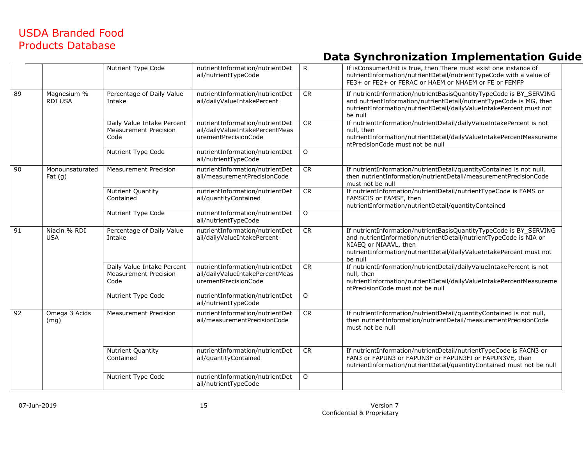|    |                               | Nutrient Type Code                                                 | nutrientInformation/nutrientDet<br>ail/nutrientTypeCode                                    | $\mathsf{R}$ | If isConsumerUnit is true, then There must exist one instance of<br>nutrientInformation/nutrientDetail/nutrientTypeCode with a value of<br>FE3+ or FE2+ or FERAC or HAEM or NHAEM or FE or FEMFP                                                   |
|----|-------------------------------|--------------------------------------------------------------------|--------------------------------------------------------------------------------------------|--------------|----------------------------------------------------------------------------------------------------------------------------------------------------------------------------------------------------------------------------------------------------|
| 89 | Magnesium %<br><b>RDI USA</b> | Percentage of Daily Value<br>Intake                                | nutrientInformation/nutrientDet<br>ail/dailyValueIntakePercent                             | <b>CR</b>    | If nutrientInformation/nutrientBasisQuantityTypeCode is BY_SERVING<br>and nutrientInformation/nutrientDetail/nutrientTypeCode is MG, then<br>nutrientInformation/nutrientDetail/dailyValueIntakePercent must not<br>be null                        |
|    |                               | Daily Value Intake Percent<br><b>Measurement Precision</b><br>Code | nutrientInformation/nutrientDet<br>ail/dailyValueIntakePercentMeas<br>urementPrecisionCode | CR           | If nutrientInformation/nutrientDetail/dailyValueIntakePercent is not<br>null, then<br>nutrientInformation/nutrientDetail/dailyValueIntakePercentMeasureme<br>ntPrecisionCode must not be null                                                      |
|    |                               | Nutrient Type Code                                                 | nutrientInformation/nutrientDet<br>ail/nutrientTypeCode                                    | $\Omega$     |                                                                                                                                                                                                                                                    |
| 90 | Monounsaturated<br>Fat(g)     | <b>Measurement Precision</b>                                       | nutrientInformation/nutrientDet<br>ail/measurementPrecisionCode                            | <b>CR</b>    | If nutrientInformation/nutrientDetail/quantityContained is not null,<br>then nutrientInformation/nutrientDetail/measurementPrecisionCode<br>must not be null                                                                                       |
|    |                               | <b>Nutrient Quantity</b><br>Contained                              | nutrientInformation/nutrientDet<br>ail/quantityContained                                   | <b>CR</b>    | If nutrientInformation/nutrientDetail/nutrientTypeCode is FAMS or<br>FAMSCIS or FAMSF, then<br>nutrientInformation/nutrientDetail/quantityContained                                                                                                |
|    |                               | Nutrient Type Code                                                 | nutrientInformation/nutrientDet<br>ail/nutrientTypeCode                                    | $\Omega$     |                                                                                                                                                                                                                                                    |
| 91 | Niacin % RDI<br><b>USA</b>    | Percentage of Daily Value<br>Intake                                | nutrientInformation/nutrientDet<br>ail/dailyValueIntakePercent                             | CR           | If nutrientInformation/nutrientBasisQuantityTypeCode is BY_SERVING<br>and nutrientInformation/nutrientDetail/nutrientTypeCode is NIA or<br>NIAEQ or NIAAVL, then<br>nutrientInformation/nutrientDetail/dailyValueIntakePercent must not<br>be null |
|    |                               | Daily Value Intake Percent<br><b>Measurement Precision</b><br>Code | nutrientInformation/nutrientDet<br>ail/dailyValueIntakePercentMeas<br>urementPrecisionCode | CR           | If nutrientInformation/nutrientDetail/dailyValueIntakePercent is not<br>null, then<br>nutrientInformation/nutrientDetail/dailyValueIntakePercentMeasureme<br>ntPrecisionCode must not be null                                                      |
|    |                               | Nutrient Type Code                                                 | nutrientInformation/nutrientDet<br>ail/nutrientTypeCode                                    | $\Omega$     |                                                                                                                                                                                                                                                    |
| 92 | Omega 3 Acids<br>(mg)         | <b>Measurement Precision</b>                                       | nutrientInformation/nutrientDet<br>ail/measurementPrecisionCode                            | <b>CR</b>    | If nutrientInformation/nutrientDetail/quantityContained is not null,<br>then nutrientInformation/nutrientDetail/measurementPrecisionCode<br>must not be null                                                                                       |
|    |                               | <b>Nutrient Quantity</b><br>Contained                              | nutrientInformation/nutrientDet<br>ail/quantityContained                                   | <b>CR</b>    | If nutrientInformation/nutrientDetail/nutrientTypeCode is FACN3 or<br>FAN3 or FAPUN3 or FAPUN3F or FAPUN3FI or FAPUN3VE, then<br>nutrientInformation/nutrientDetail/quantityContained must not be null                                             |
|    |                               | Nutrient Type Code                                                 | nutrientInformation/nutrientDet<br>ail/nutrientTypeCode                                    | $\circ$      |                                                                                                                                                                                                                                                    |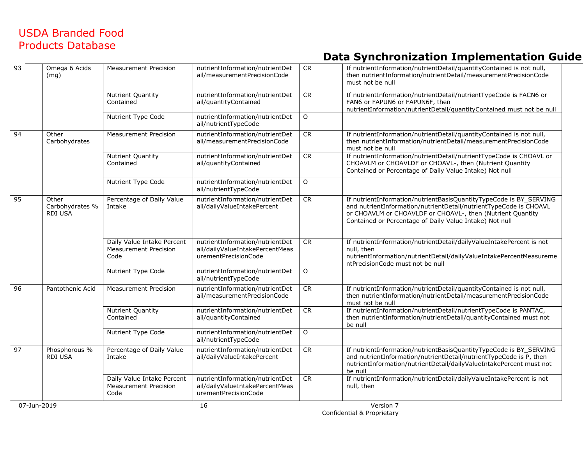| 93 | Omega 6 Acids                              | <b>Measurement Precision</b>                                       | nutrientInformation/nutrientDet                                                            | <b>CR</b>  | If nutrientInformation/nutrientDetail/quantityContained is not null,                                                                                                                                                                                             |
|----|--------------------------------------------|--------------------------------------------------------------------|--------------------------------------------------------------------------------------------|------------|------------------------------------------------------------------------------------------------------------------------------------------------------------------------------------------------------------------------------------------------------------------|
|    | (mg)                                       |                                                                    | ail/measurementPrecisionCode                                                               |            | then nutrientInformation/nutrientDetail/measurementPrecisionCode<br>must not be null                                                                                                                                                                             |
|    |                                            | <b>Nutrient Quantity</b><br>Contained                              | nutrientInformation/nutrientDet<br>ail/quantityContained                                   | CR         | If nutrientInformation/nutrientDetail/nutrientTypeCode is FACN6 or<br>FAN6 or FAPUN6 or FAPUN6F, then<br>nutrientInformation/nutrientDetail/quantityContained must not be null                                                                                   |
|    |                                            | Nutrient Type Code                                                 | nutrientInformation/nutrientDet<br>ail/nutrientTypeCode                                    | $\circ$    |                                                                                                                                                                                                                                                                  |
| 94 | Other<br>Carbohydrates                     | <b>Measurement Precision</b>                                       | nutrientInformation/nutrientDet<br>ail/measurementPrecisionCode                            | ${\sf CR}$ | If nutrientInformation/nutrientDetail/quantityContained is not null,<br>then nutrientInformation/nutrientDetail/measurementPrecisionCode<br>must not be null                                                                                                     |
|    |                                            | <b>Nutrient Quantity</b><br>Contained                              | nutrientInformation/nutrientDet<br>ail/quantityContained                                   | <b>CR</b>  | If nutrientInformation/nutrientDetail/nutrientTypeCode is CHOAVL or<br>CHOAVLM or CHOAVLDF or CHOAVL-, then (Nutrient Quantity<br>Contained or Percentage of Daily Value Intake) Not null                                                                        |
|    |                                            | Nutrient Type Code                                                 | nutrientInformation/nutrientDet<br>ail/nutrientTypeCode                                    | $\circ$    |                                                                                                                                                                                                                                                                  |
| 95 | Other<br>Carbohydrates %<br><b>RDI USA</b> | Percentage of Daily Value<br>Intake                                | nutrientInformation/nutrientDet<br>ail/dailyValueIntakePercent                             | CR         | If nutrientInformation/nutrientBasisQuantityTypeCode is BY_SERVING<br>and nutrientInformation/nutrientDetail/nutrientTypeCode is CHOAVL<br>or CHOAVLM or CHOAVLDF or CHOAVL-, then (Nutrient Quantity<br>Contained or Percentage of Daily Value Intake) Not null |
|    |                                            | Daily Value Intake Percent<br><b>Measurement Precision</b><br>Code | nutrientInformation/nutrientDet<br>ail/dailyValueIntakePercentMeas<br>urementPrecisionCode | <b>CR</b>  | If nutrientInformation/nutrientDetail/dailyValueIntakePercent is not<br>null, then<br>nutrientInformation/nutrientDetail/dailyValueIntakePercentMeasureme<br>ntPrecisionCode must not be null                                                                    |
|    |                                            | Nutrient Type Code                                                 | nutrientInformation/nutrientDet<br>ail/nutrientTypeCode                                    | $\circ$    |                                                                                                                                                                                                                                                                  |
| 96 | Pantothenic Acid                           | <b>Measurement Precision</b>                                       | nutrientInformation/nutrientDet<br>ail/measurementPrecisionCode                            | CR         | If nutrientInformation/nutrientDetail/quantityContained is not null,<br>then nutrientInformation/nutrientDetail/measurementPrecisionCode<br>must not be null                                                                                                     |
|    |                                            | Nutrient Quantity<br>Contained                                     | nutrientInformation/nutrientDet<br>ail/quantityContained                                   | <b>CR</b>  | If nutrientInformation/nutrientDetail/nutrientTypeCode is PANTAC,<br>then nutrientInformation/nutrientDetail/quantityContained must not<br>be null                                                                                                               |
|    |                                            | Nutrient Type Code                                                 | nutrientInformation/nutrientDet<br>ail/nutrientTypeCode                                    | $\Omega$   |                                                                                                                                                                                                                                                                  |
| 97 | Phosphorous %<br><b>RDI USA</b>            | Percentage of Daily Value<br>Intake                                | nutrientInformation/nutrientDet<br>ail/dailyValueIntakePercent                             | CR         | If nutrientInformation/nutrientBasisQuantityTypeCode is BY_SERVING<br>and nutrientInformation/nutrientDetail/nutrientTypeCode is P, then<br>nutrientInformation/nutrientDetail/dailyValueIntakePercent must not<br>be null                                       |
|    |                                            | Daily Value Intake Percent<br>Measurement Precision<br>Code        | nutrientInformation/nutrientDet<br>ail/dailyValueIntakePercentMeas<br>urementPrecisionCode | CR         | If nutrientInformation/nutrientDetail/dailyValueIntakePercent is not<br>null, then                                                                                                                                                                               |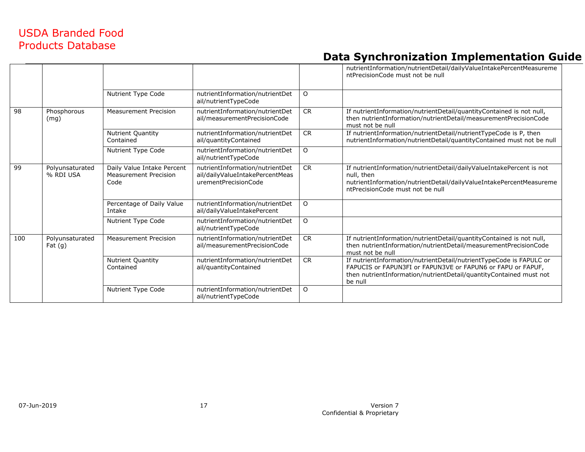|     |                              |                                                                    |                                                                                            |           | nutrientInformation/nutrientDetail/dailyValueIntakePercentMeasureme<br>ntPrecisionCode must not be null                                                                                                             |
|-----|------------------------------|--------------------------------------------------------------------|--------------------------------------------------------------------------------------------|-----------|---------------------------------------------------------------------------------------------------------------------------------------------------------------------------------------------------------------------|
|     |                              | Nutrient Type Code                                                 | nutrientInformation/nutrientDet<br>ail/nutrientTypeCode                                    | $\Omega$  |                                                                                                                                                                                                                     |
| 98  | Phosphorous<br>(mq)          | <b>Measurement Precision</b>                                       | nutrientInformation/nutrientDet<br>ail/measurementPrecisionCode                            | <b>CR</b> | If nutrientInformation/nutrientDetail/quantityContained is not null,<br>then nutrientInformation/nutrientDetail/measurementPrecisionCode<br>must not be null                                                        |
|     |                              | Nutrient Quantity<br>Contained                                     | nutrientInformation/nutrientDet<br>ail/quantityContained                                   | CR        | If nutrientInformation/nutrientDetail/nutrientTypeCode is P, then<br>nutrientInformation/nutrientDetail/quantityContained must not be null                                                                          |
|     |                              | Nutrient Type Code                                                 | nutrientInformation/nutrientDet<br>ail/nutrientTypeCode                                    | $\circ$   |                                                                                                                                                                                                                     |
| 99  | Polyunsaturated<br>% RDI USA | Daily Value Intake Percent<br><b>Measurement Precision</b><br>Code | nutrientInformation/nutrientDet<br>ail/dailyValueIntakePercentMeas<br>urementPrecisionCode | <b>CR</b> | If nutrientInformation/nutrientDetail/dailyValueIntakePercent is not<br>null, then<br>nutrientInformation/nutrientDetail/dailyValueIntakePercentMeasureme<br>ntPrecisionCode must not be null                       |
|     |                              | Percentage of Daily Value<br>Intake                                | nutrientInformation/nutrientDet<br>ail/dailyValueIntakePercent                             | $\circ$   |                                                                                                                                                                                                                     |
|     |                              | Nutrient Type Code                                                 | nutrientInformation/nutrientDet<br>ail/nutrientTypeCode                                    | $\circ$   |                                                                                                                                                                                                                     |
| 100 | Polyunsaturated<br>Fat(g)    | <b>Measurement Precision</b>                                       | nutrientInformation/nutrientDet<br>ail/measurementPrecisionCode                            | <b>CR</b> | If nutrientInformation/nutrientDetail/quantityContained is not null,<br>then nutrientInformation/nutrientDetail/measurementPrecisionCode<br>must not be null                                                        |
|     |                              | Nutrient Quantity<br>Contained                                     | nutrientInformation/nutrientDet<br>ail/quantityContained                                   | <b>CR</b> | If nutrientInformation/nutrientDetail/nutrientTypeCode is FAPULC or<br>FAPUCIS or FAPUN3FI or FAPUN3VE or FAPUN6 or FAPU or FAPUF,<br>then nutrientInformation/nutrientDetail/quantityContained must not<br>be null |
|     |                              | Nutrient Type Code                                                 | nutrientInformation/nutrientDet<br>ail/nutrientTypeCode                                    | $\circ$   |                                                                                                                                                                                                                     |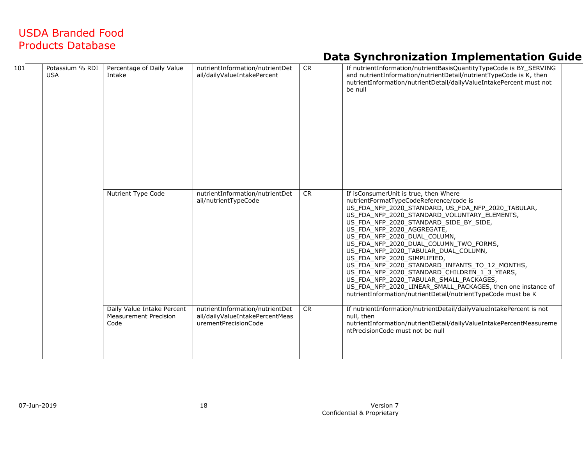| 101 | Potassium % RDI<br><b>USA</b> | Percentage of Daily Value<br>Intake                                | nutrientInformation/nutrientDet<br>ail/dailyValueIntakePercent                             | CR        | If nutrientInformation/nutrientBasisQuantityTypeCode is BY_SERVING<br>and nutrientInformation/nutrientDetail/nutrientTypeCode is K, then<br>nutrientInformation/nutrientDetail/dailyValueIntakePercent must not<br>be null                                                                                                                                                                                                                                                                                                                                                                                                                                                                   |
|-----|-------------------------------|--------------------------------------------------------------------|--------------------------------------------------------------------------------------------|-----------|----------------------------------------------------------------------------------------------------------------------------------------------------------------------------------------------------------------------------------------------------------------------------------------------------------------------------------------------------------------------------------------------------------------------------------------------------------------------------------------------------------------------------------------------------------------------------------------------------------------------------------------------------------------------------------------------|
|     |                               | Nutrient Type Code                                                 | nutrientInformation/nutrientDet<br>ail/nutrientTypeCode                                    | <b>CR</b> | If isConsumerUnit is true, then Where<br>nutrientFormatTypeCodeReference/code is<br>US_FDA_NFP_2020_STANDARD, US_FDA_NFP_2020_TABULAR,<br>US FDA NFP 2020 STANDARD VOLUNTARY ELEMENTS,<br>US FDA NFP 2020 STANDARD SIDE BY SIDE,<br>US FDA NFP 2020 AGGREGATE,<br>US_FDA_NFP_2020_DUAL_COLUMN,<br>US FDA NFP 2020 DUAL COLUMN TWO FORMS,<br>US FDA NFP 2020 TABULAR DUAL COLUMN,<br>US FDA NFP 2020 SIMPLIFIED,<br>US FDA NFP 2020 STANDARD INFANTS TO 12 MONTHS,<br>US_FDA_NFP_2020_STANDARD_CHILDREN_1_3_YEARS,<br>US FDA NFP 2020 TABULAR SMALL PACKAGES,<br>US_FDA_NFP_2020_LINEAR_SMALL_PACKAGES, then one instance of<br>nutrientInformation/nutrientDetail/nutrientTypeCode must be K |
|     |                               | Daily Value Intake Percent<br><b>Measurement Precision</b><br>Code | nutrientInformation/nutrientDet<br>ail/dailyValueIntakePercentMeas<br>urementPrecisionCode | <b>CR</b> | If nutrientInformation/nutrientDetail/dailyValueIntakePercent is not<br>null, then<br>nutrientInformation/nutrientDetail/dailyValueIntakePercentMeasureme<br>ntPrecisionCode must not be null                                                                                                                                                                                                                                                                                                                                                                                                                                                                                                |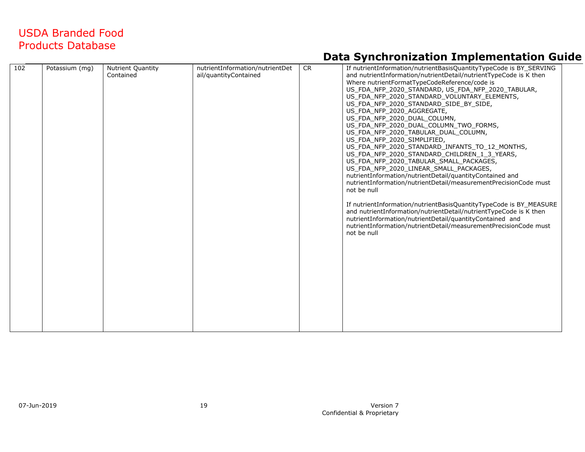| 102 | Potassium (mg) | Nutrient Quantity<br>Contained | nutrientInformation/nutrientDet<br>ail/quantityContained | <b>CR</b> | If nutrientInformation/nutrientBasisQuantityTypeCode is BY_SERVING<br>and nutrientInformation/nutrientDetail/nutrientTypeCode is K then<br>Where nutrientFormatTypeCodeReference/code is<br>US FDA NFP 2020 STANDARD, US FDA NFP 2020 TABULAR,<br>US FDA NFP 2020 STANDARD VOLUNTARY ELEMENTS,<br>US_FDA_NFP_2020_STANDARD_SIDE_BY_SIDE,<br>US_FDA_NFP_2020_AGGREGATE,<br>US FDA NFP 2020 DUAL COLUMN,<br>US_FDA_NFP_2020_DUAL_COLUMN_TWO_FORMS,<br>US_FDA_NFP_2020_TABULAR_DUAL_COLUMN,<br>US FDA NFP 2020 SIMPLIFIED,<br>US FDA NFP 2020 STANDARD INFANTS TO 12 MONTHS,<br>US_FDA_NFP_2020_STANDARD_CHILDREN_1_3_YEARS, |  |
|-----|----------------|--------------------------------|----------------------------------------------------------|-----------|---------------------------------------------------------------------------------------------------------------------------------------------------------------------------------------------------------------------------------------------------------------------------------------------------------------------------------------------------------------------------------------------------------------------------------------------------------------------------------------------------------------------------------------------------------------------------------------------------------------------------|--|
|     |                |                                |                                                          |           | US_FDA_NFP_2020_TABULAR_SMALL_PACKAGES,<br>US FDA NFP 2020 LINEAR SMALL PACKAGES,<br>nutrientInformation/nutrientDetail/quantityContained and<br>nutrientInformation/nutrientDetail/measurementPrecisionCode must<br>not be null<br>If nutrientInformation/nutrientBasisQuantityTypeCode is BY_MEASURE<br>and nutrientInformation/nutrientDetail/nutrientTypeCode is K then<br>nutrientInformation/nutrientDetail/quantityContained and<br>nutrientInformation/nutrientDetail/measurementPrecisionCode must<br>not be null                                                                                                |  |
|     |                |                                |                                                          |           |                                                                                                                                                                                                                                                                                                                                                                                                                                                                                                                                                                                                                           |  |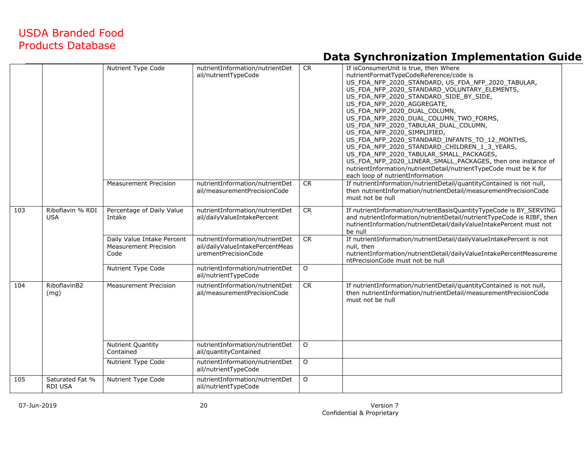|     |                                   | Nutrient Type Code                                                 | nutrientInformation/nutrientDet<br>ail/nutrientTypeCode                                    | <b>CR</b> | If isConsumerUnit is true, then Where<br>nutrientFormatTypeCodeReference/code is<br>US_FDA_NFP_2020_STANDARD, US_FDA_NFP_2020_TABULAR,<br>US FDA NFP 2020 STANDARD VOLUNTARY ELEMENTS,<br>US_FDA_NFP_2020_STANDARD_SIDE_BY_SIDE,<br>US_FDA_NFP_2020_AGGREGATE,<br>US_FDA_NFP_2020_DUAL_COLUMN,<br>US_FDA_NFP_2020_DUAL_COLUMN_TWO_FORMS,<br>US_FDA_NFP_2020_TABULAR_DUAL_COLUMN,<br>US_FDA_NFP_2020_SIMPLIFIED,<br>US_FDA_NFP_2020_STANDARD_INFANTS_TO_12_MONTHS,<br>US FDA NFP 2020 STANDARD CHILDREN 1 3 YEARS,<br>US_FDA_NFP_2020_TABULAR_SMALL_PACKAGES,<br>US_FDA_NFP_2020_LINEAR_SMALL_PACKAGES, then one instance of<br>nutrientInformation/nutrientDetail/nutrientTypeCode must be K for<br>each loop of nutrientInformation |
|-----|-----------------------------------|--------------------------------------------------------------------|--------------------------------------------------------------------------------------------|-----------|--------------------------------------------------------------------------------------------------------------------------------------------------------------------------------------------------------------------------------------------------------------------------------------------------------------------------------------------------------------------------------------------------------------------------------------------------------------------------------------------------------------------------------------------------------------------------------------------------------------------------------------------------------------------------------------------------------------------------------------|
|     |                                   | <b>Measurement Precision</b>                                       | nutrientInformation/nutrientDet<br>ail/measurementPrecisionCode                            | <b>CR</b> | If nutrientInformation/nutrientDetail/quantityContained is not null,<br>then nutrientInformation/nutrientDetail/measurementPrecisionCode<br>must not be null                                                                                                                                                                                                                                                                                                                                                                                                                                                                                                                                                                         |
| 103 | Riboflavin % RDI<br><b>USA</b>    | Percentage of Daily Value<br>Intake                                | nutrientInformation/nutrientDet<br>ail/dailyValueIntakePercent                             | <b>CR</b> | If nutrientInformation/nutrientBasisQuantityTypeCode is BY_SERVING<br>and nutrientInformation/nutrientDetail/nutrientTypeCode is RIBF, then<br>nutrientInformation/nutrientDetail/dailyValueIntakePercent must not<br>be null                                                                                                                                                                                                                                                                                                                                                                                                                                                                                                        |
|     |                                   | Daily Value Intake Percent<br><b>Measurement Precision</b><br>Code | nutrientInformation/nutrientDet<br>ail/dailyValueIntakePercentMeas<br>urementPrecisionCode | <b>CR</b> | If nutrientInformation/nutrientDetail/dailyValueIntakePercent is not<br>null, then<br>nutrientInformation/nutrientDetail/dailyValueIntakePercentMeasureme<br>ntPrecisionCode must not be null                                                                                                                                                                                                                                                                                                                                                                                                                                                                                                                                        |
|     |                                   | Nutrient Type Code                                                 | nutrientInformation/nutrientDet<br>ail/nutrientTypeCode                                    | $\circ$   |                                                                                                                                                                                                                                                                                                                                                                                                                                                                                                                                                                                                                                                                                                                                      |
| 104 | RiboflavinB2<br>(mq)              | <b>Measurement Precision</b>                                       | nutrientInformation/nutrientDet<br>ail/measurementPrecisionCode                            | <b>CR</b> | If nutrientInformation/nutrientDetail/quantityContained is not null,<br>then nutrientInformation/nutrientDetail/measurementPrecisionCode<br>must not be null                                                                                                                                                                                                                                                                                                                                                                                                                                                                                                                                                                         |
|     |                                   | Nutrient Quantity<br>Contained                                     | nutrientInformation/nutrientDet<br>ail/quantityContained                                   | $\circ$   |                                                                                                                                                                                                                                                                                                                                                                                                                                                                                                                                                                                                                                                                                                                                      |
|     |                                   | Nutrient Type Code                                                 | nutrientInformation/nutrientDet<br>ail/nutrientTypeCode                                    | $\Omega$  |                                                                                                                                                                                                                                                                                                                                                                                                                                                                                                                                                                                                                                                                                                                                      |
| 105 | Saturated Fat %<br><b>RDI USA</b> | Nutrient Type Code                                                 | nutrientInformation/nutrientDet<br>ail/nutrientTypeCode                                    | $\circ$   |                                                                                                                                                                                                                                                                                                                                                                                                                                                                                                                                                                                                                                                                                                                                      |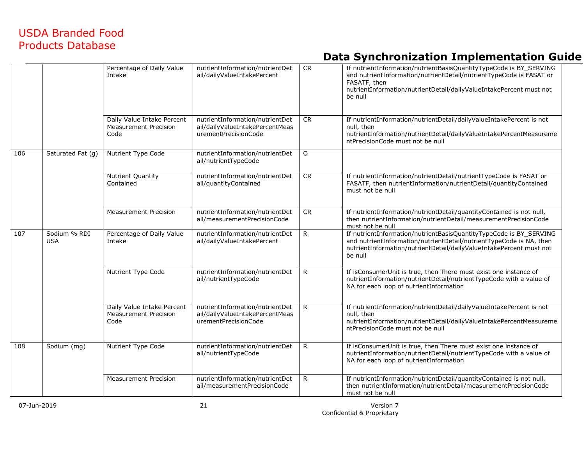|     |                            | Percentage of Daily Value<br>Intake                                | nutrientInformation/nutrientDet<br>ail/dailyValueIntakePercent                             | <b>CR</b>  | If nutrientInformation/nutrientBasisQuantityTypeCode is BY_SERVING<br>and nutrientInformation/nutrientDetail/nutrientTypeCode is FASAT or<br>FASATF, then<br>nutrientInformation/nutrientDetail/dailyValueIntakePercent must not<br>be null |
|-----|----------------------------|--------------------------------------------------------------------|--------------------------------------------------------------------------------------------|------------|---------------------------------------------------------------------------------------------------------------------------------------------------------------------------------------------------------------------------------------------|
|     |                            | Daily Value Intake Percent<br><b>Measurement Precision</b><br>Code | nutrientInformation/nutrientDet<br>ail/dailyValueIntakePercentMeas<br>urementPrecisionCode | CR         | If nutrientInformation/nutrientDetail/dailyValueIntakePercent is not<br>null, then<br>nutrientInformation/nutrientDetail/dailyValueIntakePercentMeasureme<br>ntPrecisionCode must not be null                                               |
| 106 | Saturated Fat (g)          | Nutrient Type Code                                                 | nutrientInformation/nutrientDet<br>ail/nutrientTypeCode                                    | $\circ$    |                                                                                                                                                                                                                                             |
|     |                            | Nutrient Quantity<br>Contained                                     | nutrientInformation/nutrientDet<br>ail/quantityContained                                   | <b>CR</b>  | If nutrientInformation/nutrientDetail/nutrientTypeCode is FASAT or<br>FASATF, then nutrientInformation/nutrientDetail/quantityContained<br>must not be null                                                                                 |
|     |                            | <b>Measurement Precision</b>                                       | nutrientInformation/nutrientDet<br>ail/measurementPrecisionCode                            | ${\sf CR}$ | If nutrientInformation/nutrientDetail/quantityContained is not null,<br>then nutrientInformation/nutrientDetail/measurementPrecisionCode<br>must not be null                                                                                |
| 107 | Sodium % RDI<br><b>USA</b> | Percentage of Daily Value<br>Intake                                | nutrientInformation/nutrientDet<br>ail/dailyValueIntakePercent                             | R.         | If nutrientInformation/nutrientBasisQuantityTypeCode is BY_SERVING<br>and nutrientInformation/nutrientDetail/nutrientTypeCode is NA, then<br>nutrientInformation/nutrientDetail/dailyValueIntakePercent must not<br>be null                 |
|     |                            | Nutrient Type Code                                                 | nutrientInformation/nutrientDet<br>ail/nutrientTypeCode                                    | R          | If isConsumerUnit is true, then There must exist one instance of<br>nutrientInformation/nutrientDetail/nutrientTypeCode with a value of<br>NA for each loop of nutrientInformation                                                          |
|     |                            | Daily Value Intake Percent<br><b>Measurement Precision</b><br>Code | nutrientInformation/nutrientDet<br>ail/dailyValueIntakePercentMeas<br>urementPrecisionCode | R.         | If nutrientInformation/nutrientDetail/dailyValueIntakePercent is not<br>null, then<br>nutrientInformation/nutrientDetail/dailyValueIntakePercentMeasureme<br>ntPrecisionCode must not be null                                               |
| 108 | Sodium (mg)                | Nutrient Type Code                                                 | nutrientInformation/nutrientDet<br>ail/nutrientTypeCode                                    | R          | If isConsumerUnit is true, then There must exist one instance of<br>nutrientInformation/nutrientDetail/nutrientTypeCode with a value of<br>NA for each loop of nutrientInformation                                                          |
|     |                            | <b>Measurement Precision</b>                                       | nutrientInformation/nutrientDet<br>ail/measurementPrecisionCode                            | R          | If nutrientInformation/nutrientDetail/quantityContained is not null,<br>then nutrientInformation/nutrientDetail/measurementPrecisionCode<br>must not be null                                                                                |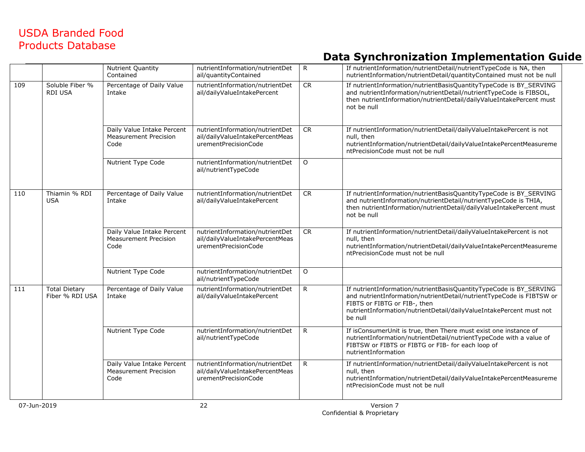|     |                                         | Nutrient Quantity<br>Contained                                     | nutrientInformation/nutrientDet<br>ail/quantityContained                                   | R            | If nutrientInformation/nutrientDetail/nutrientTypeCode is NA, then<br>nutrientInformation/nutrientDetail/quantityContained must not be null                                                                                                                  |
|-----|-----------------------------------------|--------------------------------------------------------------------|--------------------------------------------------------------------------------------------|--------------|--------------------------------------------------------------------------------------------------------------------------------------------------------------------------------------------------------------------------------------------------------------|
| 109 | Soluble Fiber %<br><b>RDI USA</b>       | Percentage of Daily Value<br>Intake                                | nutrientInformation/nutrientDet<br>ail/dailyValueIntakePercent                             | ${\sf CR}$   | If nutrientInformation/nutrientBasisQuantityTypeCode is BY_SERVING<br>and nutrientInformation/nutrientDetail/nutrientTypeCode is FIBSOL,<br>then nutrientInformation/nutrientDetail/dailyValueIntakePercent must<br>not be null                              |
|     |                                         | Daily Value Intake Percent<br><b>Measurement Precision</b><br>Code | nutrientInformation/nutrientDet<br>ail/dailyValueIntakePercentMeas<br>urementPrecisionCode | <b>CR</b>    | If nutrientInformation/nutrientDetail/dailyValueIntakePercent is not<br>null, then<br>nutrientInformation/nutrientDetail/dailyValueIntakePercentMeasureme<br>ntPrecisionCode must not be null                                                                |
|     |                                         | Nutrient Type Code                                                 | nutrientInformation/nutrientDet<br>ail/nutrientTypeCode                                    | $\circ$      |                                                                                                                                                                                                                                                              |
| 110 | Thiamin % RDI<br><b>USA</b>             | Percentage of Daily Value<br>Intake                                | nutrientInformation/nutrientDet<br>ail/dailyValueIntakePercent                             | CR           | If nutrientInformation/nutrientBasisQuantityTypeCode is BY_SERVING<br>and nutrientInformation/nutrientDetail/nutrientTypeCode is THIA,<br>then nutrientInformation/nutrientDetail/dailyValueIntakePercent must<br>not be null                                |
|     |                                         | Daily Value Intake Percent<br><b>Measurement Precision</b><br>Code | nutrientInformation/nutrientDet<br>ail/dailyValueIntakePercentMeas<br>urementPrecisionCode | ${\sf CR}$   | If nutrientInformation/nutrientDetail/dailyValueIntakePercent is not<br>null, then<br>nutrientInformation/nutrientDetail/dailyValueIntakePercentMeasureme<br>ntPrecisionCode must not be null                                                                |
|     |                                         | Nutrient Type Code                                                 | nutrientInformation/nutrientDet<br>ail/nutrientTypeCode                                    | $\mathsf O$  |                                                                                                                                                                                                                                                              |
| 111 | <b>Total Dietary</b><br>Fiber % RDI USA | Percentage of Daily Value<br>Intake                                | nutrientInformation/nutrientDet<br>ail/dailyValueIntakePercent                             | $\mathsf{R}$ | If nutrientInformation/nutrientBasisQuantityTypeCode is BY SERVING<br>and nutrientInformation/nutrientDetail/nutrientTypeCode is FIBTSW or<br>FIBTS or FIBTG or FIB-, then<br>nutrientInformation/nutrientDetail/dailyValueIntakePercent must not<br>be null |
|     |                                         | Nutrient Type Code                                                 | nutrientInformation/nutrientDet<br>ail/nutrientTypeCode                                    | $\mathsf{R}$ | If isConsumerUnit is true, then There must exist one instance of<br>nutrientInformation/nutrientDetail/nutrientTypeCode with a value of<br>FIBTSW or FIBTS or FIBTG or FIB- for each loop of<br>nutrientInformation                                          |
|     |                                         | Daily Value Intake Percent<br><b>Measurement Precision</b><br>Code | nutrientInformation/nutrientDet<br>ail/dailyValueIntakePercentMeas<br>urementPrecisionCode | R            | If nutrientInformation/nutrientDetail/dailyValueIntakePercent is not<br>null, then<br>nutrientInformation/nutrientDetail/dailyValueIntakePercentMeasureme<br>ntPrecisionCode must not be null                                                                |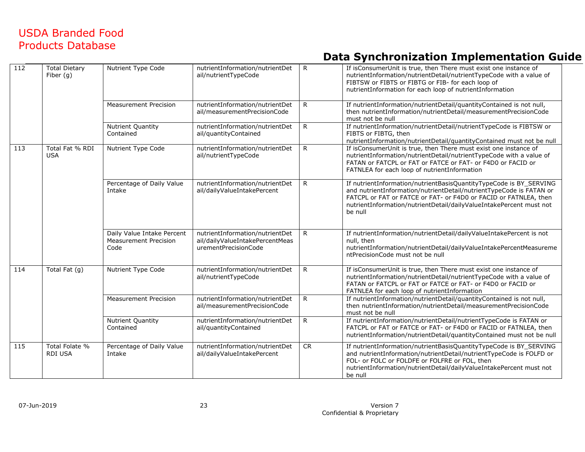| 112 | <b>Total Dietary</b><br>Fiber $(g)$ | Nutrient Type Code                                                 | nutrientInformation/nutrientDet<br>ail/nutrientTypeCode                                    | R            | If isConsumerUnit is true, then There must exist one instance of<br>nutrientInformation/nutrientDetail/nutrientTypeCode with a value of<br>FIBTSW or FIBTS or FIBTG or FIB- for each loop of<br>nutrientInformation for each loop of nutrientInformation                                        |
|-----|-------------------------------------|--------------------------------------------------------------------|--------------------------------------------------------------------------------------------|--------------|-------------------------------------------------------------------------------------------------------------------------------------------------------------------------------------------------------------------------------------------------------------------------------------------------|
|     |                                     | <b>Measurement Precision</b>                                       | nutrientInformation/nutrientDet<br>ail/measurementPrecisionCode                            | $\mathsf{R}$ | If nutrientInformation/nutrientDetail/quantityContained is not null,<br>then nutrientInformation/nutrientDetail/measurementPrecisionCode<br>must not be null                                                                                                                                    |
|     |                                     | <b>Nutrient Quantity</b><br>Contained                              | nutrientInformation/nutrientDet<br>ail/quantityContained                                   | R            | If nutrientInformation/nutrientDetail/nutrientTypeCode is FIBTSW or<br>FIBTS or FIBTG, then<br>nutrientInformation/nutrientDetail/quantityContained must not be null                                                                                                                            |
| 113 | Total Fat % RDI<br><b>USA</b>       | Nutrient Type Code                                                 | nutrientInformation/nutrientDet<br>ail/nutrientTypeCode                                    | R            | If isConsumerUnit is true, then There must exist one instance of<br>nutrientInformation/nutrientDetail/nutrientTypeCode with a value of<br>FATAN or FATCPL or FAT or FATCE or FAT- or F4D0 or FACID or<br>FATNLEA for each loop of nutrientInformation                                          |
|     |                                     | Percentage of Daily Value<br>Intake                                | nutrientInformation/nutrientDet<br>ail/dailyValueIntakePercent                             | R            | If nutrientInformation/nutrientBasisQuantityTypeCode is BY_SERVING<br>and nutrientInformation/nutrientDetail/nutrientTypeCode is FATAN or<br>FATCPL or FAT or FATCE or FAT- or F4D0 or FACID or FATNLEA, then<br>nutrientInformation/nutrientDetail/dailyValueIntakePercent must not<br>be null |
|     |                                     | Daily Value Intake Percent<br><b>Measurement Precision</b><br>Code | nutrientInformation/nutrientDet<br>ail/dailyValueIntakePercentMeas<br>urementPrecisionCode | $\mathsf{R}$ | If nutrientInformation/nutrientDetail/dailyValueIntakePercent is not<br>null, then<br>nutrientInformation/nutrientDetail/dailyValueIntakePercentMeasureme<br>ntPrecisionCode must not be null                                                                                                   |
| 114 | Total Fat (g)                       | Nutrient Type Code                                                 | nutrientInformation/nutrientDet<br>ail/nutrientTypeCode                                    | $\mathsf{R}$ | If isConsumerUnit is true, then There must exist one instance of<br>nutrientInformation/nutrientDetail/nutrientTypeCode with a value of<br>FATAN or FATCPL or FAT or FATCE or FAT- or F4D0 or FACID or<br>FATNLEA for each loop of nutrientInformation                                          |
|     |                                     | <b>Measurement Precision</b>                                       | nutrientInformation/nutrientDet<br>ail/measurementPrecisionCode                            | $\mathsf{R}$ | If nutrientInformation/nutrientDetail/quantityContained is not null,<br>then nutrientInformation/nutrientDetail/measurementPrecisionCode<br>must not be null                                                                                                                                    |
|     |                                     | <b>Nutrient Quantity</b><br>Contained                              | nutrientInformation/nutrientDet<br>ail/quantityContained                                   | $\mathsf{R}$ | If nutrientInformation/nutrientDetail/nutrientTypeCode is FATAN or<br>FATCPL or FAT or FATCE or FAT- or F4D0 or FACID or FATNLEA, then<br>nutrientInformation/nutrientDetail/quantityContained must not be null                                                                                 |
| 115 | Total Folate %<br><b>RDI USA</b>    | Percentage of Daily Value<br>Intake                                | nutrientInformation/nutrientDet<br>ail/dailyValueIntakePercent                             | <b>CR</b>    | If nutrientInformation/nutrientBasisQuantityTypeCode is BY_SERVING<br>and nutrientInformation/nutrientDetail/nutrientTypeCode is FOLFD or<br>FOL- or FOLC or FOLDFE or FOLFRE or FOL, then<br>nutrientInformation/nutrientDetail/dailyValueIntakePercent must not<br>be null                    |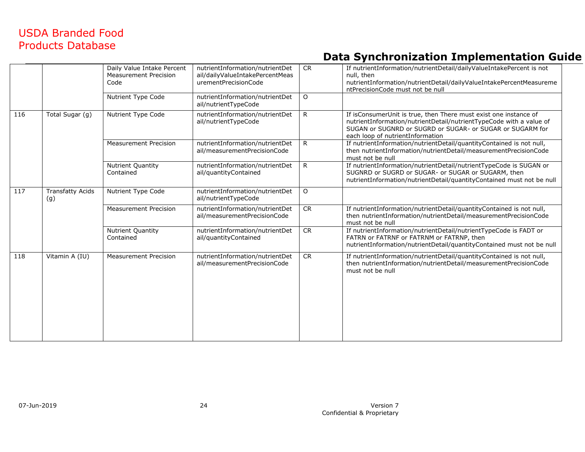|                         | Daily Value Intake Percent<br><b>Measurement Precision</b><br>Code | nutrientInformation/nutrientDet<br>ail/dailyValueIntakePercentMeas<br>urementPrecisionCode | CR        | If nutrientInformation/nutrientDetail/dailyValueIntakePercent is not<br>null, then<br>nutrientInformation/nutrientDetail/dailyValueIntakePercentMeasureme<br>ntPrecisionCode must not be null                                            |
|-------------------------|--------------------------------------------------------------------|--------------------------------------------------------------------------------------------|-----------|------------------------------------------------------------------------------------------------------------------------------------------------------------------------------------------------------------------------------------------|
|                         | Nutrient Type Code                                                 | nutrientInformation/nutrientDet<br>ail/nutrientTypeCode                                    | $\Omega$  |                                                                                                                                                                                                                                          |
| Total Sugar (g)         | Nutrient Type Code                                                 | nutrientInformation/nutrientDet<br>ail/nutrientTypeCode                                    | R         | If isConsumerUnit is true, then There must exist one instance of<br>nutrientInformation/nutrientDetail/nutrientTypeCode with a value of<br>SUGAN or SUGNRD or SUGRD or SUGAR- or SUGAR or SUGARM for<br>each loop of nutrientInformation |
|                         | <b>Measurement Precision</b>                                       | nutrientInformation/nutrientDet<br>ail/measurementPrecisionCode                            | R         | If nutrientInformation/nutrientDetail/quantityContained is not null,<br>then nutrientInformation/nutrientDetail/measurementPrecisionCode<br>must not be null                                                                             |
|                         | <b>Nutrient Quantity</b><br>Contained                              | nutrientInformation/nutrientDet<br>ail/quantityContained                                   | R         | If nutrientInformation/nutrientDetail/nutrientTypeCode is SUGAN or<br>SUGNRD or SUGRD or SUGAR- or SUGAR or SUGARM, then<br>nutrientInformation/nutrientDetail/quantityContained must not be null                                        |
| Transfatty Acids<br>(g) | Nutrient Type Code                                                 | nutrientInformation/nutrientDet<br>ail/nutrientTypeCode                                    | $\circ$   |                                                                                                                                                                                                                                          |
|                         | <b>Measurement Precision</b>                                       | nutrientInformation/nutrientDet<br>ail/measurementPrecisionCode                            | <b>CR</b> | If nutrientInformation/nutrientDetail/quantityContained is not null,<br>then nutrientInformation/nutrientDetail/measurementPrecisionCode<br>must not be null                                                                             |
|                         | <b>Nutrient Quantity</b><br>Contained                              | nutrientInformation/nutrientDet<br>ail/quantityContained                                   | <b>CR</b> | If nutrientInformation/nutrientDetail/nutrientTypeCode is FADT or<br>FATRN or FATRNF or FATRNM or FATRNP, then<br>nutrientInformation/nutrientDetail/quantityContained must not be null                                                  |
| Vitamin A (IU)          | <b>Measurement Precision</b>                                       | nutrientInformation/nutrientDet<br>ail/measurementPrecisionCode                            | CR        | If nutrientInformation/nutrientDetail/quantityContained is not null,<br>then nutrientInformation/nutrientDetail/measurementPrecisionCode<br>must not be null                                                                             |
|                         |                                                                    |                                                                                            |           |                                                                                                                                                                                                                                          |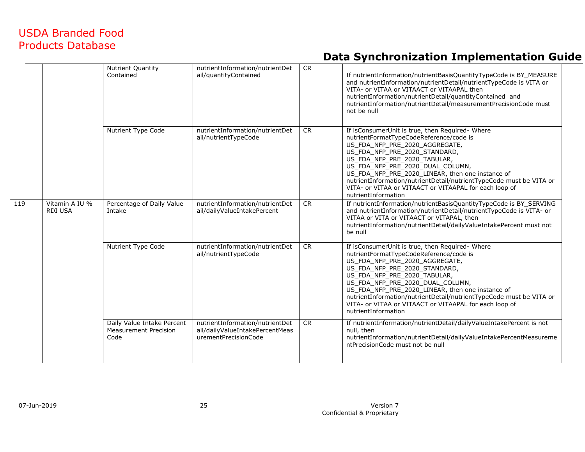|     |                                  | Nutrient Quantity<br>Contained                                     | nutrientInformation/nutrientDet<br>ail/quantityContained                                   | <b>CR</b> | If nutrientInformation/nutrientBasisQuantityTypeCode is BY_MEASURE<br>and nutrientInformation/nutrientDetail/nutrientTypeCode is VITA or<br>VITA- or VITAA or VITAACT or VITAAPAL then<br>nutrientInformation/nutrientDetail/quantityContained and<br>nutrientInformation/nutrientDetail/measurementPrecisionCode must<br>not be null                                                                                                        |
|-----|----------------------------------|--------------------------------------------------------------------|--------------------------------------------------------------------------------------------|-----------|----------------------------------------------------------------------------------------------------------------------------------------------------------------------------------------------------------------------------------------------------------------------------------------------------------------------------------------------------------------------------------------------------------------------------------------------|
|     |                                  | Nutrient Type Code                                                 | nutrientInformation/nutrientDet<br>ail/nutrientTypeCode                                    | <b>CR</b> | If isConsumerUnit is true, then Required-Where<br>nutrientFormatTypeCodeReference/code is<br>US FDA NFP PRE 2020 AGGREGATE,<br>US FDA NFP PRE 2020 STANDARD,<br>US FDA NFP PRE 2020 TABULAR,<br>US_FDA_NFP_PRE_2020_DUAL_COLUMN,<br>US_FDA_NFP_PRE_2020_LINEAR, then one instance of<br>nutrientInformation/nutrientDetail/nutrientTypeCode must be VITA or<br>VITA- or VITAA or VITAACT or VITAAPAL for each loop of<br>nutrientInformation |
| 119 | Vitamin A IU %<br><b>RDI USA</b> | Percentage of Daily Value<br>Intake                                | nutrientInformation/nutrientDet<br>ail/dailyValueIntakePercent                             | <b>CR</b> | If nutrientInformation/nutrientBasisQuantityTypeCode is BY_SERVING<br>and nutrientInformation/nutrientDetail/nutrientTypeCode is VITA- or<br>VITAA or VITA or VITAACT or VITAPAL, then<br>nutrientInformation/nutrientDetail/dailyValueIntakePercent must not<br>be null                                                                                                                                                                     |
|     |                                  | Nutrient Type Code                                                 | nutrientInformation/nutrientDet<br>ail/nutrientTypeCode                                    | <b>CR</b> | If isConsumerUnit is true, then Required-Where<br>nutrientFormatTypeCodeReference/code is<br>US_FDA_NFP_PRE_2020_AGGREGATE,<br>US_FDA_NFP_PRE_2020_STANDARD,<br>US_FDA_NFP_PRE_2020_TABULAR,<br>US_FDA_NFP_PRE_2020_DUAL_COLUMN,<br>US_FDA_NFP_PRE_2020_LINEAR, then one instance of<br>nutrientInformation/nutrientDetail/nutrientTypeCode must be VITA or<br>VITA- or VITAA or VITAACT or VITAAPAL for each loop of<br>nutrientInformation |
|     |                                  | Daily Value Intake Percent<br><b>Measurement Precision</b><br>Code | nutrientInformation/nutrientDet<br>ail/dailyValueIntakePercentMeas<br>urementPrecisionCode | <b>CR</b> | If nutrientInformation/nutrientDetail/dailyValueIntakePercent is not<br>null, then<br>nutrientInformation/nutrientDetail/dailyValueIntakePercentMeasureme<br>ntPrecisionCode must not be null                                                                                                                                                                                                                                                |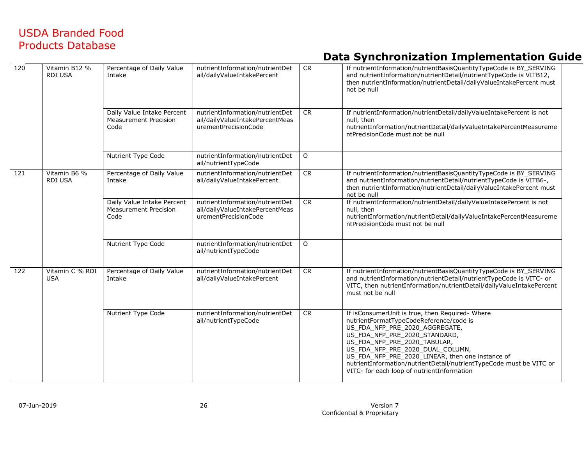| 120 | Vitamin B12 %<br><b>RDI USA</b> | Percentage of Daily Value<br>Intake                                | nutrientInformation/nutrientDet<br>ail/dailyValueIntakePercent                             | CR          | If nutrientInformation/nutrientBasisQuantityTypeCode is BY_SERVING<br>and nutrientInformation/nutrientDetail/nutrientTypeCode is VITB12,<br>then nutrientInformation/nutrientDetail/dailyValueIntakePercent must<br>not be null                                                                                                                                                                            |
|-----|---------------------------------|--------------------------------------------------------------------|--------------------------------------------------------------------------------------------|-------------|------------------------------------------------------------------------------------------------------------------------------------------------------------------------------------------------------------------------------------------------------------------------------------------------------------------------------------------------------------------------------------------------------------|
|     |                                 | Daily Value Intake Percent<br><b>Measurement Precision</b><br>Code | nutrientInformation/nutrientDet<br>ail/dailyValueIntakePercentMeas<br>urementPrecisionCode | CR          | If nutrientInformation/nutrientDetail/dailyValueIntakePercent is not<br>null, then<br>nutrientInformation/nutrientDetail/dailyValueIntakePercentMeasureme<br>ntPrecisionCode must not be null                                                                                                                                                                                                              |
|     |                                 | Nutrient Type Code                                                 | nutrientInformation/nutrientDet<br>ail/nutrientTypeCode                                    | $\mathsf O$ |                                                                                                                                                                                                                                                                                                                                                                                                            |
| 121 | Vitamin B6 %<br><b>RDI USA</b>  | Percentage of Daily Value<br>Intake                                | nutrientInformation/nutrientDet<br>ail/dailyValueIntakePercent                             | CR          | If nutrientInformation/nutrientBasisQuantityTypeCode is BY_SERVING<br>and nutrientInformation/nutrientDetail/nutrientTypeCode is VITB6-,<br>then nutrientInformation/nutrientDetail/dailyValueIntakePercent must<br>not be null                                                                                                                                                                            |
|     |                                 | Daily Value Intake Percent<br><b>Measurement Precision</b><br>Code | nutrientInformation/nutrientDet<br>ail/dailyValueIntakePercentMeas<br>urementPrecisionCode | <b>CR</b>   | If nutrientInformation/nutrientDetail/dailyValueIntakePercent is not<br>null, then<br>nutrientInformation/nutrientDetail/dailyValueIntakePercentMeasureme<br>ntPrecisionCode must not be null                                                                                                                                                                                                              |
|     |                                 | Nutrient Type Code                                                 | nutrientInformation/nutrientDet<br>ail/nutrientTypeCode                                    | $\circ$     |                                                                                                                                                                                                                                                                                                                                                                                                            |
| 122 | Vitamin C % RDI<br><b>USA</b>   | Percentage of Daily Value<br>Intake                                | nutrientInformation/nutrientDet<br>ail/dailyValueIntakePercent                             | CR          | If nutrientInformation/nutrientBasisQuantityTypeCode is BY_SERVING<br>and nutrientInformation/nutrientDetail/nutrientTypeCode is VITC- or<br>VITC, then nutrientInformation/nutrientDetail/dailyValueIntakePercent<br>must not be null                                                                                                                                                                     |
|     |                                 | Nutrient Type Code                                                 | nutrientInformation/nutrientDet<br>ail/nutrientTypeCode                                    | <b>CR</b>   | If isConsumerUnit is true, then Required- Where<br>nutrientFormatTypeCodeReference/code is<br>US FDA NFP PRE 2020 AGGREGATE,<br>US_FDA_NFP_PRE_2020_STANDARD,<br>US_FDA_NFP_PRE_2020_TABULAR,<br>US_FDA_NFP_PRE_2020_DUAL_COLUMN,<br>US_FDA_NFP_PRE_2020_LINEAR, then one instance of<br>nutrientInformation/nutrientDetail/nutrientTypeCode must be VITC or<br>VITC- for each loop of nutrientInformation |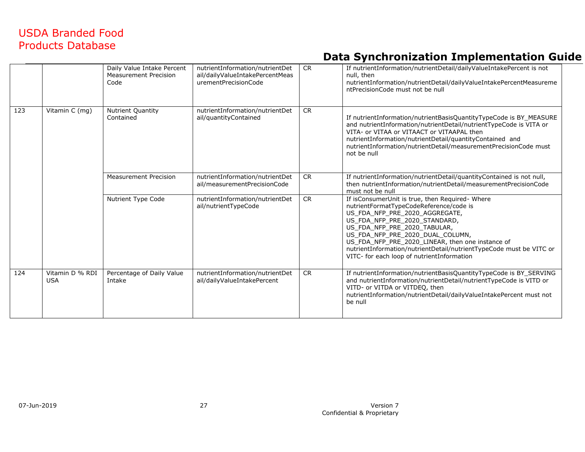|     |                               | Daily Value Intake Percent<br>Measurement Precision<br>Code | nutrientInformation/nutrientDet<br>ail/dailyValueIntakePercentMeas<br>urementPrecisionCode | <b>CR</b> | If nutrientInformation/nutrientDetail/dailyValueIntakePercent is not<br>null, then<br>nutrientInformation/nutrientDetail/dailyValueIntakePercentMeasureme<br>ntPrecisionCode must not be null                                                                                                                                                                                                             |
|-----|-------------------------------|-------------------------------------------------------------|--------------------------------------------------------------------------------------------|-----------|-----------------------------------------------------------------------------------------------------------------------------------------------------------------------------------------------------------------------------------------------------------------------------------------------------------------------------------------------------------------------------------------------------------|
| 123 | Vitamin C (mg)                | <b>Nutrient Quantity</b><br>Contained                       | nutrientInformation/nutrientDet<br>ail/quantityContained                                   | <b>CR</b> | If nutrientInformation/nutrientBasisQuantityTypeCode is BY MEASURE<br>and nutrientInformation/nutrientDetail/nutrientTypeCode is VITA or<br>VITA- or VITAA or VITAACT or VITAAPAL then<br>nutrientInformation/nutrientDetail/quantityContained and<br>nutrientInformation/nutrientDetail/measurementPrecisionCode must<br>not be null                                                                     |
|     |                               | <b>Measurement Precision</b>                                | nutrientInformation/nutrientDet<br>ail/measurementPrecisionCode                            | <b>CR</b> | If nutrientInformation/nutrientDetail/quantityContained is not null,<br>then nutrientInformation/nutrientDetail/measurementPrecisionCode<br>must not be null                                                                                                                                                                                                                                              |
|     |                               | Nutrient Type Code                                          | nutrientInformation/nutrientDet<br>ail/nutrientTypeCode                                    | <b>CR</b> | If isConsumerUnit is true, then Required-Where<br>nutrientFormatTypeCodeReference/code is<br>US FDA NFP PRE 2020 AGGREGATE,<br>US_FDA_NFP_PRE_2020_STANDARD,<br>US_FDA_NFP_PRE_2020_TABULAR,<br>US FDA NFP PRE 2020 DUAL COLUMN,<br>US_FDA_NFP_PRE_2020_LINEAR, then one instance of<br>nutrientInformation/nutrientDetail/nutrientTypeCode must be VITC or<br>VITC- for each loop of nutrientInformation |
| 124 | Vitamin D % RDI<br><b>USA</b> | Percentage of Daily Value<br>Intake                         | nutrientInformation/nutrientDet<br>ail/dailyValueIntakePercent                             | <b>CR</b> | If nutrientInformation/nutrientBasisQuantityTypeCode is BY_SERVING<br>and nutrientInformation/nutrientDetail/nutrientTypeCode is VITD or<br>VITD- or VITDA or VITDEO, then<br>nutrientInformation/nutrientDetail/dailyValueIntakePercent must not<br>be null                                                                                                                                              |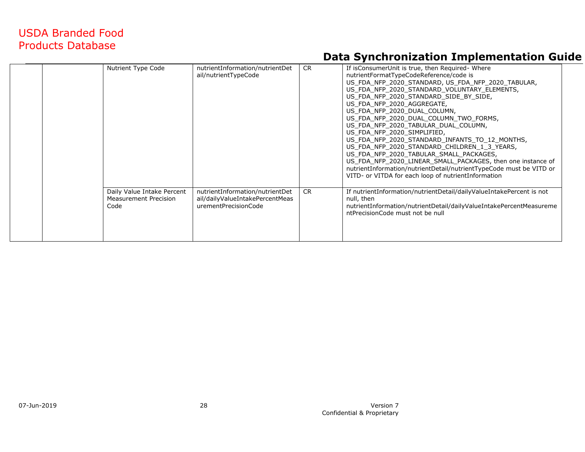|  | Nutrient Type Code                                                 | nutrientInformation/nutrientDet<br>ail/nutrientTypeCode                                    | <b>CR</b> | If is Consumer Unit is true, then Required - Where<br>nutrientFormatTypeCodeReference/code is<br>US FDA NFP 2020 STANDARD, US FDA NFP 2020 TABULAR,<br>US FDA NFP 2020 STANDARD VOLUNTARY ELEMENTS,<br>US FDA NFP 2020 STANDARD SIDE BY SIDE,<br>US FDA NFP 2020 AGGREGATE,<br>US FDA NFP 2020 DUAL COLUMN,<br>US FDA NFP 2020 DUAL COLUMN TWO FORMS,<br>US FDA NFP 2020 TABULAR DUAL COLUMN,<br>US FDA NFP 2020 SIMPLIFIED,<br>US FDA NFP 2020 STANDARD INFANTS TO 12 MONTHS,<br>US FDA NFP 2020 STANDARD CHILDREN 1 3 YEARS,<br>US FDA NFP 2020 TABULAR SMALL PACKAGES,<br>US FDA NFP 2020 LINEAR SMALL PACKAGES, then one instance of<br>nutrientInformation/nutrientDetail/nutrientTypeCode must be VITD or<br>VITD- or VITDA for each loop of nutrientInformation |  |
|--|--------------------------------------------------------------------|--------------------------------------------------------------------------------------------|-----------|------------------------------------------------------------------------------------------------------------------------------------------------------------------------------------------------------------------------------------------------------------------------------------------------------------------------------------------------------------------------------------------------------------------------------------------------------------------------------------------------------------------------------------------------------------------------------------------------------------------------------------------------------------------------------------------------------------------------------------------------------------------------|--|
|  | Daily Value Intake Percent<br><b>Measurement Precision</b><br>Code | nutrientInformation/nutrientDet<br>ail/dailyValueIntakePercentMeas<br>urementPrecisionCode | <b>CR</b> | If nutrientInformation/nutrientDetail/dailyValueIntakePercent is not<br>null, then<br>nutrientInformation/nutrientDetail/dailyValueIntakePercentMeasureme<br>ntPrecisionCode must not be null                                                                                                                                                                                                                                                                                                                                                                                                                                                                                                                                                                          |  |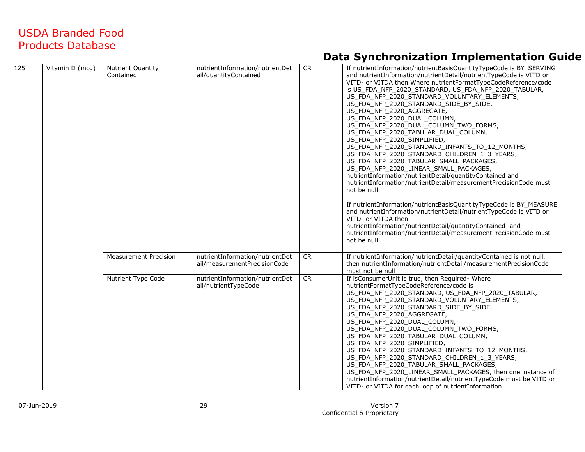| 125 | Vitamin D (mcg) | <b>Nutrient Quantity</b><br>Contained | nutrientInformation/nutrientDet<br>ail/quantityContained        | <b>CR</b> | If nutrientInformation/nutrientBasisQuantityTypeCode is BY_SERVING<br>and nutrientInformation/nutrientDetail/nutrientTypeCode is VITD or<br>VITD- or VITDA then Where nutrientFormatTypeCodeReference/code<br>is US_FDA_NFP_2020_STANDARD, US_FDA_NFP_2020_TABULAR,<br>US FDA NFP 2020 STANDARD VOLUNTARY ELEMENTS,<br>US_FDA_NFP_2020_STANDARD_SIDE_BY_SIDE,<br>US_FDA_NFP_2020_AGGREGATE,<br>US FDA NFP 2020 DUAL COLUMN,<br>US FDA NFP 2020 DUAL COLUMN TWO FORMS,<br>US_FDA_NFP_2020_TABULAR_DUAL_COLUMN,<br>US FDA NFP 2020 SIMPLIFIED,<br>US_FDA_NFP_2020_STANDARD_INFANTS_TO_12_MONTHS,<br>US_FDA_NFP_2020_STANDARD_CHILDREN_1_3_YEARS,<br>US_FDA_NFP_2020_TABULAR_SMALL_PACKAGES,<br>US_FDA_NFP_2020_LINEAR_SMALL_PACKAGES,<br>nutrientInformation/nutrientDetail/quantityContained and<br>nutrientInformation/nutrientDetail/measurementPrecisionCode must<br>not be null<br>If nutrientInformation/nutrientBasisQuantityTypeCode is BY_MEASURE<br>and nutrientInformation/nutrientDetail/nutrientTypeCode is VITD or<br>VITD- or VITDA then<br>nutrientInformation/nutrientDetail/quantityContained and<br>nutrientInformation/nutrientDetail/measurementPrecisionCode must<br>not be null |
|-----|-----------------|---------------------------------------|-----------------------------------------------------------------|-----------|------------------------------------------------------------------------------------------------------------------------------------------------------------------------------------------------------------------------------------------------------------------------------------------------------------------------------------------------------------------------------------------------------------------------------------------------------------------------------------------------------------------------------------------------------------------------------------------------------------------------------------------------------------------------------------------------------------------------------------------------------------------------------------------------------------------------------------------------------------------------------------------------------------------------------------------------------------------------------------------------------------------------------------------------------------------------------------------------------------------------------------------------------------------------------------------------------|
|     |                 | <b>Measurement Precision</b>          | nutrientInformation/nutrientDet<br>ail/measurementPrecisionCode | <b>CR</b> | If nutrientInformation/nutrientDetail/quantityContained is not null,<br>then nutrientInformation/nutrientDetail/measurementPrecisionCode<br>must not be null                                                                                                                                                                                                                                                                                                                                                                                                                                                                                                                                                                                                                                                                                                                                                                                                                                                                                                                                                                                                                                         |
|     |                 | Nutrient Type Code                    | nutrientInformation/nutrientDet<br>ail/nutrientTypeCode         | CR        | If isConsumerUnit is true, then Required-Where<br>nutrientFormatTypeCodeReference/code is<br>US_FDA_NFP_2020_STANDARD, US_FDA_NFP_2020_TABULAR,<br>US FDA NFP 2020 STANDARD VOLUNTARY ELEMENTS,<br>US_FDA_NFP_2020_STANDARD_SIDE_BY_SIDE,<br>US FDA NFP 2020 AGGREGATE,<br>US_FDA_NFP_2020_DUAL_COLUMN,<br>US_FDA_NFP_2020_DUAL_COLUMN_TWO_FORMS,<br>US FDA NFP 2020 TABULAR DUAL COLUMN,<br>US_FDA_NFP_2020_SIMPLIFIED,<br>US FDA NFP 2020 STANDARD INFANTS TO 12 MONTHS,<br>US_FDA_NFP_2020_STANDARD_CHILDREN_1_3_YEARS,<br>US FDA NFP 2020 TABULAR SMALL PACKAGES,<br>US_FDA_NFP_2020_LINEAR_SMALL_PACKAGES, then one instance of<br>nutrientInformation/nutrientDetail/nutrientTypeCode must be VITD or<br>VITD- or VITDA for each loop of nutrientInformation                                                                                                                                                                                                                                                                                                                                                                                                                                   |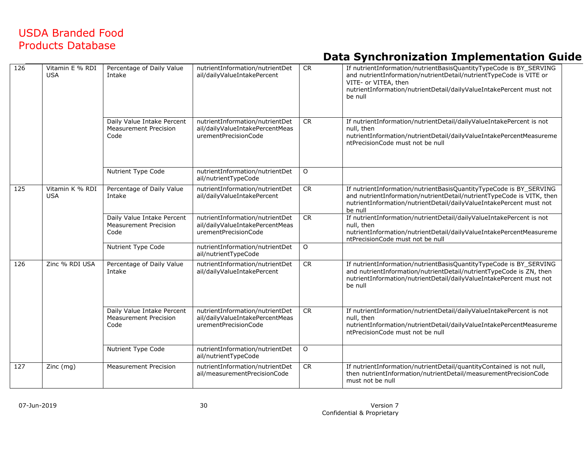| 126 | Vitamin E % RDI<br><b>USA</b> | Percentage of Daily Value<br>Intake                                | nutrientInformation/nutrientDet<br>ail/dailyValueIntakePercent                             | CR        | If nutrientInformation/nutrientBasisQuantityTypeCode is BY_SERVING<br>and nutrientInformation/nutrientDetail/nutrientTypeCode is VITE or<br>VITE- or VITEA, then<br>nutrientInformation/nutrientDetail/dailyValueIntakePercent must not<br>be null |
|-----|-------------------------------|--------------------------------------------------------------------|--------------------------------------------------------------------------------------------|-----------|----------------------------------------------------------------------------------------------------------------------------------------------------------------------------------------------------------------------------------------------------|
|     |                               | Daily Value Intake Percent<br><b>Measurement Precision</b><br>Code | nutrientInformation/nutrientDet<br>ail/dailyValueIntakePercentMeas<br>urementPrecisionCode | <b>CR</b> | If nutrientInformation/nutrientDetail/dailyValueIntakePercent is not<br>null, then<br>nutrientInformation/nutrientDetail/dailyValueIntakePercentMeasureme<br>ntPrecisionCode must not be null                                                      |
|     |                               | Nutrient Type Code                                                 | nutrientInformation/nutrientDet<br>ail/nutrientTypeCode                                    | $\circ$   |                                                                                                                                                                                                                                                    |
| 125 | Vitamin K % RDI<br><b>USA</b> | Percentage of Daily Value<br>Intake                                | nutrientInformation/nutrientDet<br>ail/dailyValueIntakePercent                             | CR        | If nutrientInformation/nutrientBasisQuantityTypeCode is BY_SERVING<br>and nutrientInformation/nutrientDetail/nutrientTypeCode is VITK, then<br>nutrientInformation/nutrientDetail/dailyValueIntakePercent must not<br>be null                      |
|     |                               | Daily Value Intake Percent<br><b>Measurement Precision</b><br>Code | nutrientInformation/nutrientDet<br>ail/dailyValueIntakePercentMeas<br>urementPrecisionCode | <b>CR</b> | If nutrientInformation/nutrientDetail/dailyValueIntakePercent is not<br>null, then<br>nutrientInformation/nutrientDetail/dailyValueIntakePercentMeasureme<br>ntPrecisionCode must not be null                                                      |
|     |                               | Nutrient Type Code                                                 | nutrientInformation/nutrientDet<br>ail/nutrientTypeCode                                    | $\circ$   |                                                                                                                                                                                                                                                    |
| 126 | Zinc % RDI USA                | Percentage of Daily Value<br>Intake                                | nutrientInformation/nutrientDet<br>ail/dailyValueIntakePercent                             | CR        | If nutrientInformation/nutrientBasisQuantityTypeCode is BY SERVING<br>and nutrientInformation/nutrientDetail/nutrientTypeCode is ZN, then<br>nutrientInformation/nutrientDetail/dailyValueIntakePercent must not<br>be null                        |
|     |                               | Daily Value Intake Percent<br><b>Measurement Precision</b><br>Code | nutrientInformation/nutrientDet<br>ail/dailyValueIntakePercentMeas<br>urementPrecisionCode | <b>CR</b> | If nutrientInformation/nutrientDetail/dailyValueIntakePercent is not<br>null, then<br>nutrientInformation/nutrientDetail/dailyValueIntakePercentMeasureme<br>ntPrecisionCode must not be null                                                      |
|     |                               | Nutrient Type Code                                                 | nutrientInformation/nutrientDet<br>ail/nutrientTypeCode                                    | $\circ$   |                                                                                                                                                                                                                                                    |
| 127 | Zinc (mg)                     | <b>Measurement Precision</b>                                       | nutrientInformation/nutrientDet<br>ail/measurementPrecisionCode                            | CR        | If nutrientInformation/nutrientDetail/quantityContained is not null,<br>then nutrientInformation/nutrientDetail/measurementPrecisionCode<br>must not be null                                                                                       |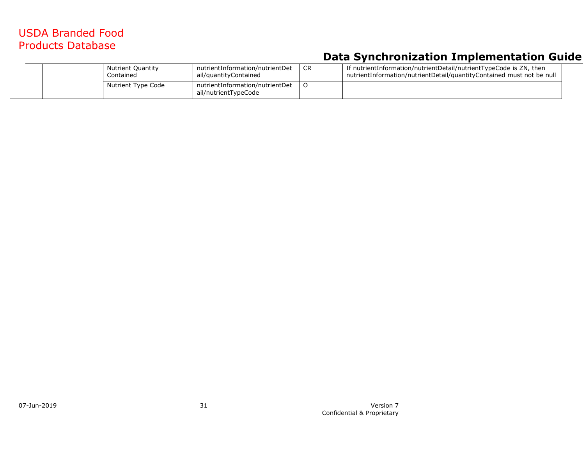| <b>Nutrient Quantity</b><br>Contained | nutrientInformation/nutrientDet<br>ail/quantityContained | <b>CR</b> | If nutrientInformation/nutrientDetail/nutrientTypeCode is ZN, then<br>nutrientInformation/nutrientDetail/quantityContained must not be null |
|---------------------------------------|----------------------------------------------------------|-----------|---------------------------------------------------------------------------------------------------------------------------------------------|
| Nutrient Type Code                    | nutrientInformation/nutrientDet<br>ail/nutrientTypeCode  |           |                                                                                                                                             |